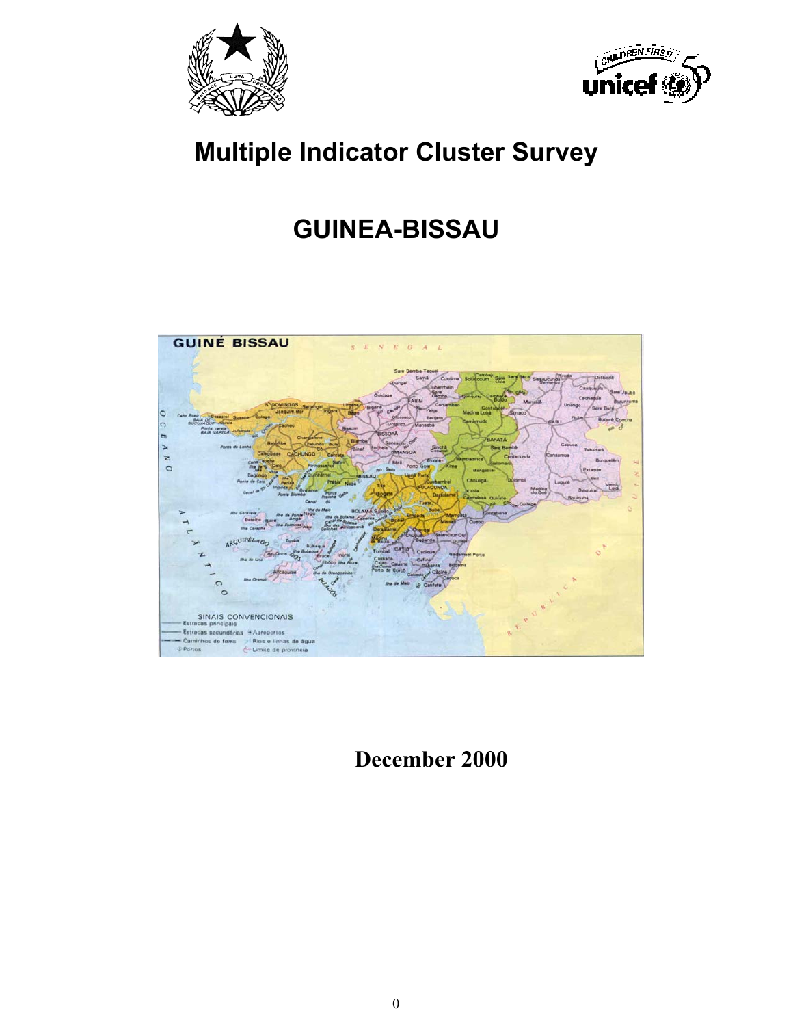



# **Multiple Indicator Cluster Survey**

# **GUINEA-BISSAU**



 **December 2000**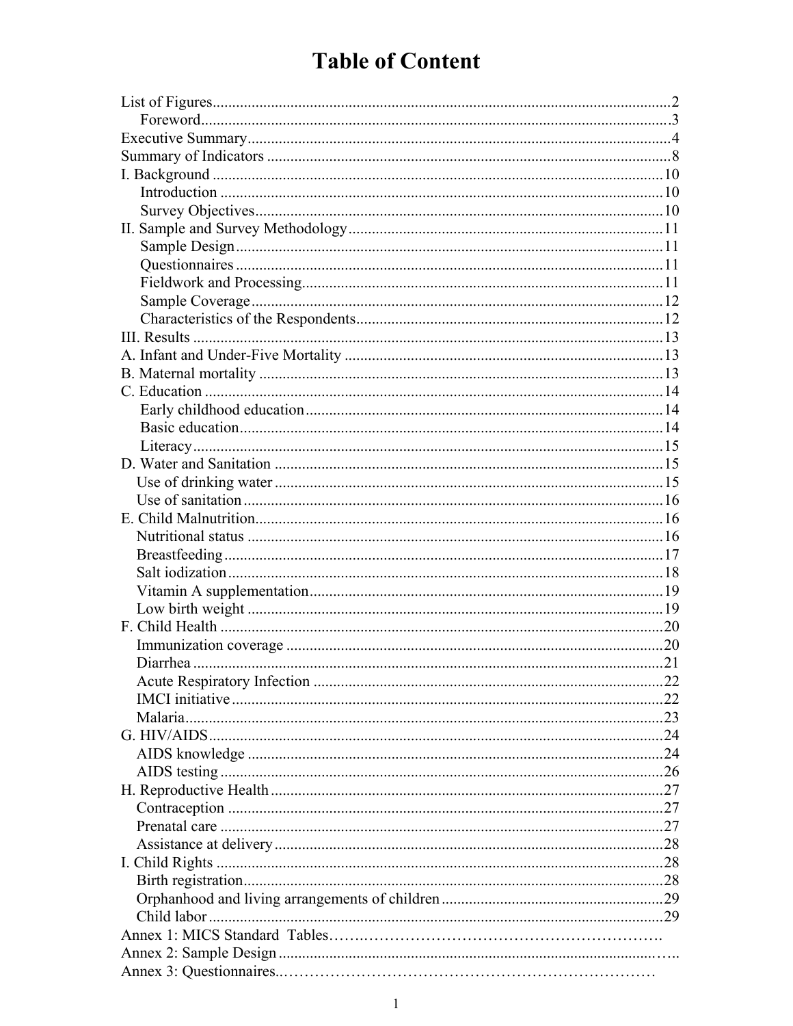# **Table of Content**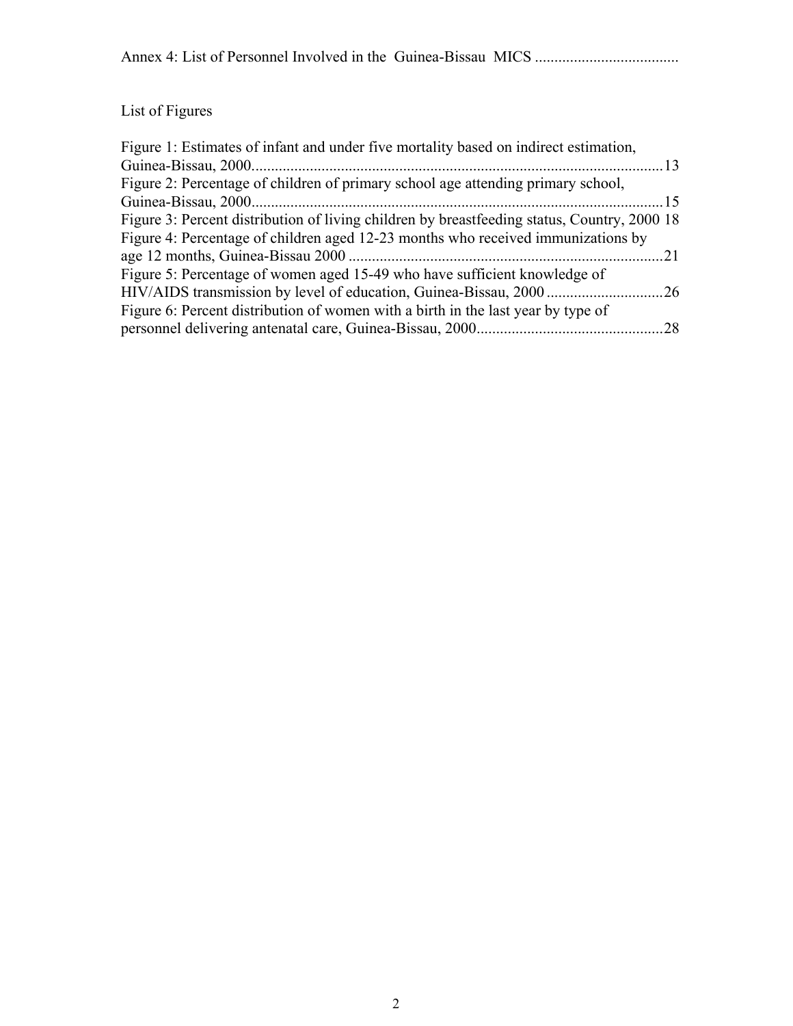# List of Figures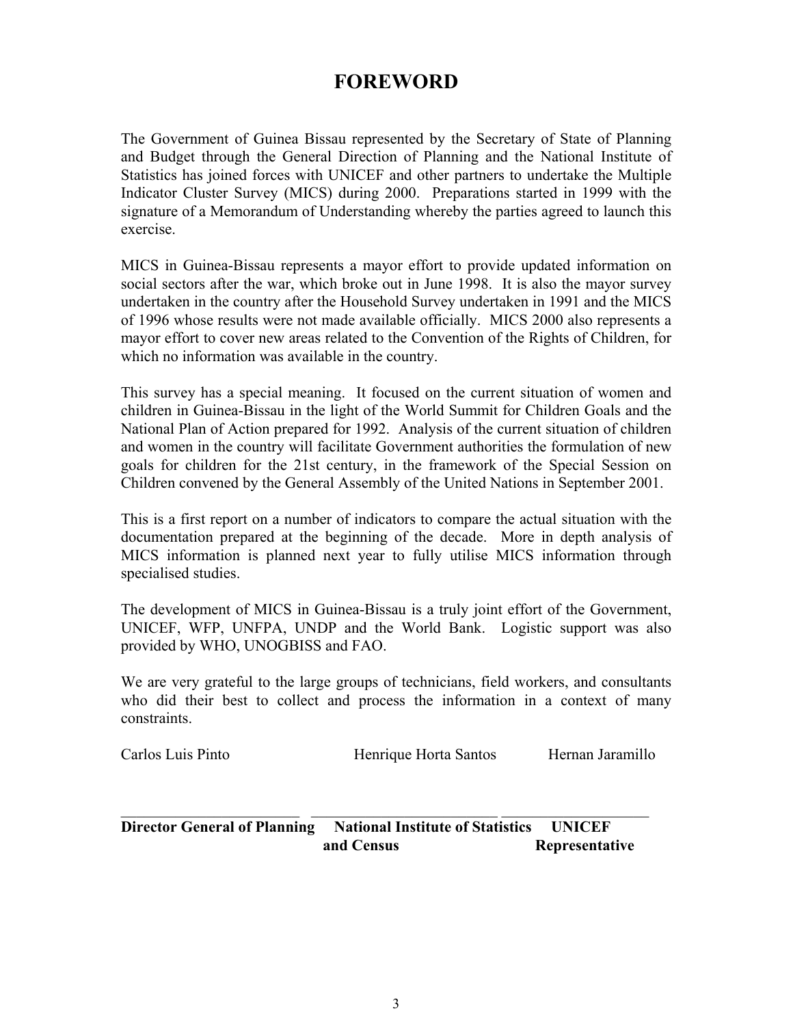# **FOREWORD**

The Government of Guinea Bissau represented by the Secretary of State of Planning and Budget through the General Direction of Planning and the National Institute of Statistics has joined forces with UNICEF and other partners to undertake the Multiple Indicator Cluster Survey (MICS) during 2000. Preparations started in 1999 with the signature of a Memorandum of Understanding whereby the parties agreed to launch this exercise.

MICS in Guinea-Bissau represents a mayor effort to provide updated information on social sectors after the war, which broke out in June 1998. It is also the mayor survey undertaken in the country after the Household Survey undertaken in 1991 and the MICS of 1996 whose results were not made available officially. MICS 2000 also represents a mayor effort to cover new areas related to the Convention of the Rights of Children, for which no information was available in the country.

This survey has a special meaning. It focused on the current situation of women and children in Guinea-Bissau in the light of the World Summit for Children Goals and the National Plan of Action prepared for 1992. Analysis of the current situation of children and women in the country will facilitate Government authorities the formulation of new goals for children for the 21st century, in the framework of the Special Session on Children convened by the General Assembly of the United Nations in September 2001.

This is a first report on a number of indicators to compare the actual situation with the documentation prepared at the beginning of the decade. More in depth analysis of MICS information is planned next year to fully utilise MICS information through specialised studies.

The development of MICS in Guinea-Bissau is a truly joint effort of the Government, UNICEF, WFP, UNFPA, UNDP and the World Bank. Logistic support was also provided by WHO, UNOGBISS and FAO.

We are very grateful to the large groups of technicians, field workers, and consultants who did their best to collect and process the information in a context of many constraints.

| Carlos Luis Pinto | Henrique Horta Santos | Hernan Jaramillo |
|-------------------|-----------------------|------------------|
|                   |                       |                  |

**Director General of Planning National Institute of Statistics UNICEF and Census Representative** 

 $\mathcal{L}_\text{max} = \mathcal{L}_\text{max} = \mathcal{L}_\text{max} = \mathcal{L}_\text{max} = \mathcal{L}_\text{max} = \mathcal{L}_\text{max} = \mathcal{L}_\text{max} = \mathcal{L}_\text{max} = \mathcal{L}_\text{max} = \mathcal{L}_\text{max} = \mathcal{L}_\text{max} = \mathcal{L}_\text{max} = \mathcal{L}_\text{max} = \mathcal{L}_\text{max} = \mathcal{L}_\text{max} = \mathcal{L}_\text{max} = \mathcal{L}_\text{max} = \mathcal{L}_\text{max} = \mathcal{$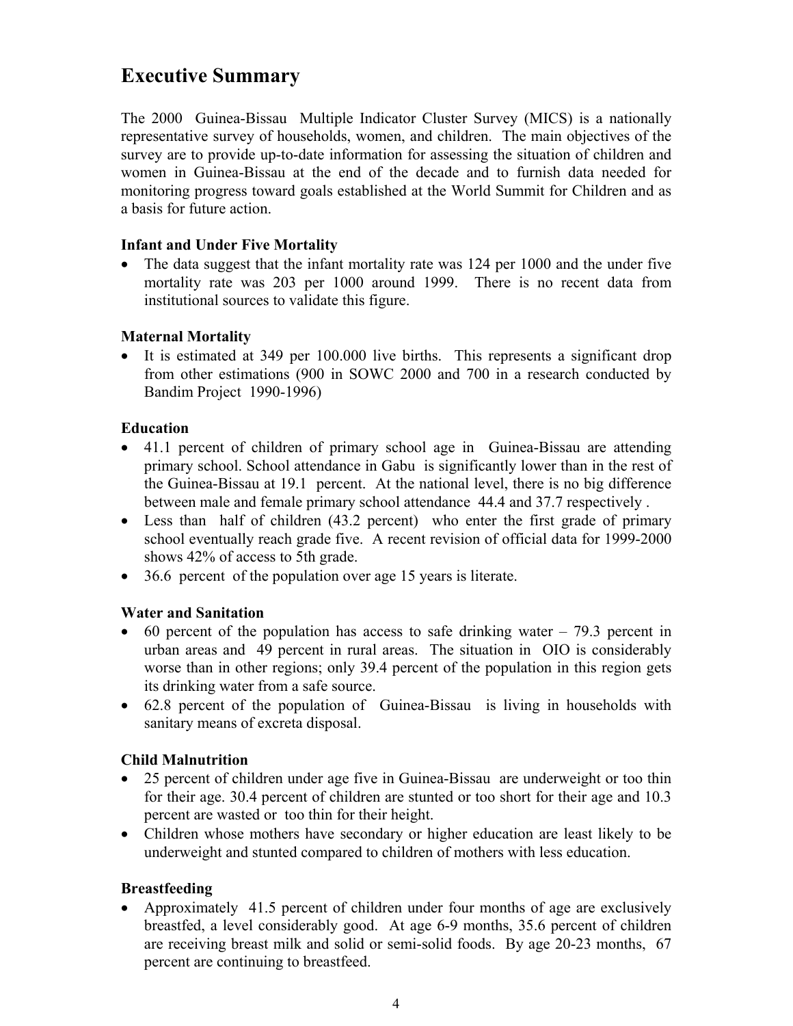# **Executive Summary**

The 2000 Guinea-Bissau Multiple Indicator Cluster Survey (MICS) is a nationally representative survey of households, women, and children. The main objectives of the survey are to provide up-to-date information for assessing the situation of children and women in Guinea-Bissau at the end of the decade and to furnish data needed for monitoring progress toward goals established at the World Summit for Children and as a basis for future action.

#### **Infant and Under Five Mortality**

• The data suggest that the infant mortality rate was 124 per 1000 and the under five mortality rate was 203 per 1000 around 1999. There is no recent data from institutional sources to validate this figure.

#### **Maternal Mortality**

• It is estimated at 349 per 100.000 live births. This represents a significant drop from other estimations (900 in SOWC 2000 and 700 in a research conducted by Bandim Project 1990-1996)

#### **Education**

- 41.1 percent of children of primary school age in Guinea-Bissau are attending primary school. School attendance in Gabu is significantly lower than in the rest of the Guinea-Bissau at 19.1 percent. At the national level, there is no big difference between male and female primary school attendance 44.4 and 37.7 respectively .
- Less than half of children (43.2 percent) who enter the first grade of primary school eventually reach grade five. A recent revision of official data for 1999-2000 shows 42% of access to 5th grade.
- 36.6 percent of the population over age 15 years is literate.

#### **Water and Sanitation**

- $\bullet$  60 percent of the population has access to safe drinking water 79.3 percent in urban areas and 49 percent in rural areas. The situation in OIO is considerably worse than in other regions; only 39.4 percent of the population in this region gets its drinking water from a safe source.
- 62.8 percent of the population of Guinea-Bissau is living in households with sanitary means of excreta disposal.

#### **Child Malnutrition**

- 25 percent of children under age five in Guinea-Bissau are underweight or too thin for their age. 30.4 percent of children are stunted or too short for their age and 10.3 percent are wasted or too thin for their height.
- Children whose mothers have secondary or higher education are least likely to be underweight and stunted compared to children of mothers with less education.

#### **Breastfeeding**

• Approximately 41.5 percent of children under four months of age are exclusively breastfed, a level considerably good. At age 6-9 months, 35.6 percent of children are receiving breast milk and solid or semi-solid foods. By age 20-23 months, 67 percent are continuing to breastfeed.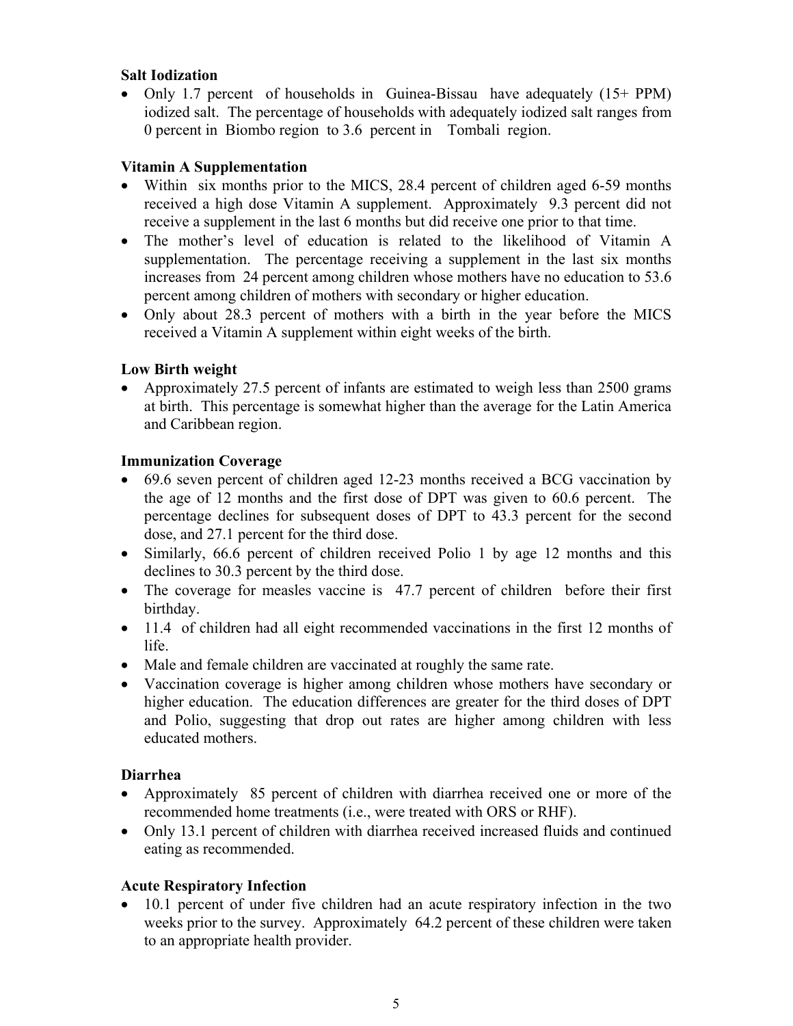#### **Salt Iodization**

• Only 1.7 percent of households in Guinea-Bissau have adequately (15+ PPM) iodized salt. The percentage of households with adequately iodized salt ranges from 0 percent in Biombo region to 3.6 percent in Tombali region.

#### **Vitamin A Supplementation**

- Within six months prior to the MICS, 28.4 percent of children aged 6-59 months received a high dose Vitamin A supplement. Approximately 9.3 percent did not receive a supplement in the last 6 months but did receive one prior to that time.
- The mother's level of education is related to the likelihood of Vitamin A supplementation. The percentage receiving a supplement in the last six months increases from 24 percent among children whose mothers have no education to 53.6 percent among children of mothers with secondary or higher education.
- Only about 28.3 percent of mothers with a birth in the year before the MICS received a Vitamin A supplement within eight weeks of the birth.

#### **Low Birth weight**

• Approximately 27.5 percent of infants are estimated to weigh less than 2500 grams at birth. This percentage is somewhat higher than the average for the Latin America and Caribbean region.

#### **Immunization Coverage**

- 69.6 seven percent of children aged 12-23 months received a BCG vaccination by the age of 12 months and the first dose of DPT was given to 60.6 percent. The percentage declines for subsequent doses of DPT to 43.3 percent for the second dose, and 27.1 percent for the third dose.
- Similarly, 66.6 percent of children received Polio 1 by age 12 months and this declines to 30.3 percent by the third dose.
- The coverage for measles vaccine is 47.7 percent of children before their first birthday.
- 11.4 of children had all eight recommended vaccinations in the first 12 months of life.
- Male and female children are vaccinated at roughly the same rate.
- Vaccination coverage is higher among children whose mothers have secondary or higher education. The education differences are greater for the third doses of DPT and Polio, suggesting that drop out rates are higher among children with less educated mothers.

#### **Diarrhea**

- Approximately 85 percent of children with diarrhea received one or more of the recommended home treatments (i.e., were treated with ORS or RHF).
- Only 13.1 percent of children with diarrhea received increased fluids and continued eating as recommended.

#### **Acute Respiratory Infection**

• 10.1 percent of under five children had an acute respiratory infection in the two weeks prior to the survey. Approximately 64.2 percent of these children were taken to an appropriate health provider.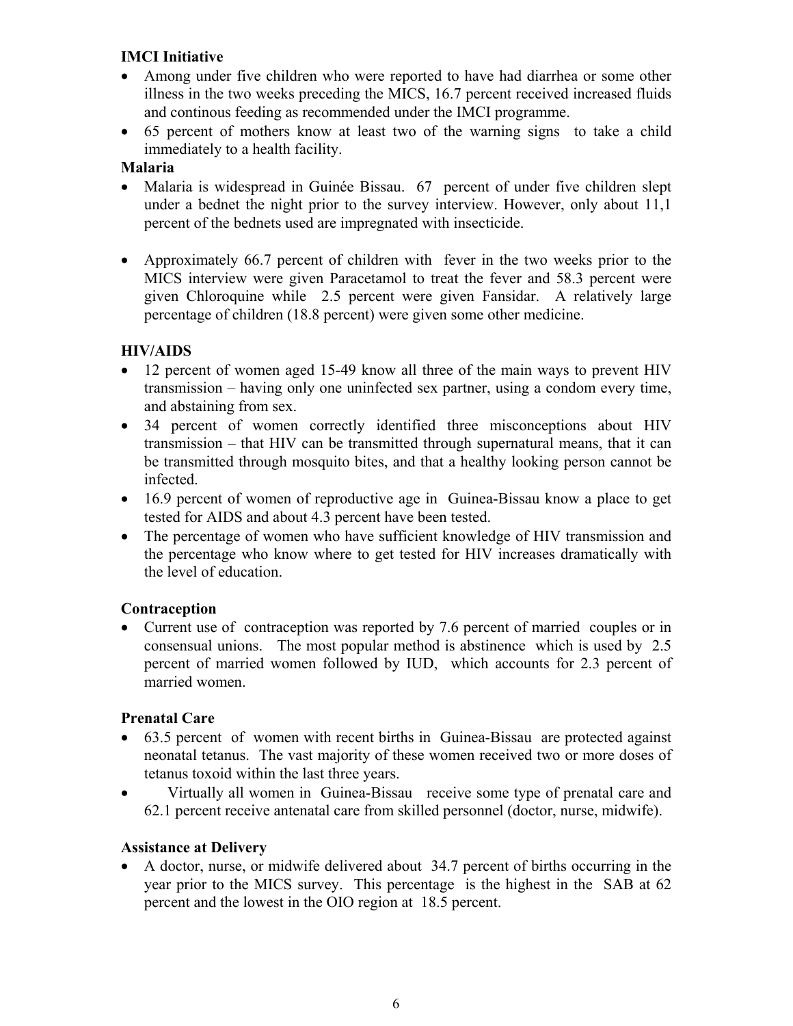## **IMCI Initiative**

- Among under five children who were reported to have had diarrhea or some other illness in the two weeks preceding the MICS, 16.7 percent received increased fluids and continous feeding as recommended under the IMCI programme.
- 65 percent of mothers know at least two of the warning signs to take a child immediately to a health facility.

#### **Malaria**

- Malaria is widespread in Guinée Bissau. 67 percent of under five children slept under a bednet the night prior to the survey interview. However, only about 11,1 percent of the bednets used are impregnated with insecticide.
- Approximately 66.7 percent of children with fever in the two weeks prior to the MICS interview were given Paracetamol to treat the fever and 58.3 percent were given Chloroquine while 2.5 percent were given Fansidar. A relatively large percentage of children (18.8 percent) were given some other medicine.

### **HIV/AIDS**

- 12 percent of women aged 15-49 know all three of the main ways to prevent HIV transmission – having only one uninfected sex partner, using a condom every time, and abstaining from sex.
- 34 percent of women correctly identified three misconceptions about HIV transmission – that HIV can be transmitted through supernatural means, that it can be transmitted through mosquito bites, and that a healthy looking person cannot be infected.
- 16.9 percent of women of reproductive age in Guinea-Bissau know a place to get tested for AIDS and about 4.3 percent have been tested.
- The percentage of women who have sufficient knowledge of HIV transmission and the percentage who know where to get tested for HIV increases dramatically with the level of education.

#### **Contraception**

• Current use of contraception was reported by 7.6 percent of married couples or in consensual unions. The most popular method is abstinence which is used by 2.5 percent of married women followed by IUD, which accounts for 2.3 percent of married women.

#### **Prenatal Care**

- 63.5 percent of women with recent births in Guinea-Bissau are protected against neonatal tetanus. The vast majority of these women received two or more doses of tetanus toxoid within the last three years.
- Virtually all women in Guinea-Bissau receive some type of prenatal care and 62.1 percent receive antenatal care from skilled personnel (doctor, nurse, midwife).

#### **Assistance at Delivery**

• A doctor, nurse, or midwife delivered about 34.7 percent of births occurring in the year prior to the MICS survey. This percentage is the highest in the SAB at 62 percent and the lowest in the OIO region at 18.5 percent.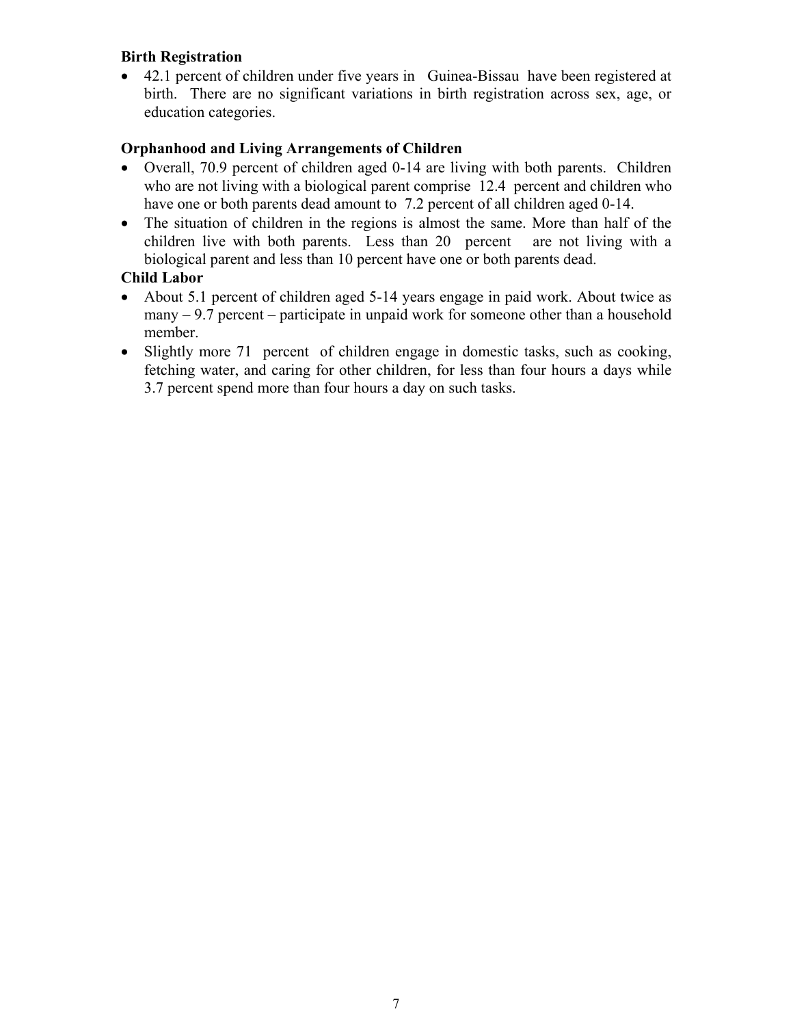#### **Birth Registration**

• 42.1 percent of children under five years in Guinea-Bissau have been registered at birth. There are no significant variations in birth registration across sex, age, or education categories.

#### **Orphanhood and Living Arrangements of Children**

- Overall, 70.9 percent of children aged 0-14 are living with both parents. Children who are not living with a biological parent comprise 12.4 percent and children who have one or both parents dead amount to 7.2 percent of all children aged 0-14.
- The situation of children in the regions is almost the same. More than half of the children live with both parents. Less than 20 percent are not living with a biological parent and less than 10 percent have one or both parents dead.

### **Child Labor**

- About 5.1 percent of children aged 5-14 years engage in paid work. About twice as many  $-9.7$  percent – participate in unpaid work for someone other than a household member.
- Slightly more 71 percent of children engage in domestic tasks, such as cooking, fetching water, and caring for other children, for less than four hours a days while 3.7 percent spend more than four hours a day on such tasks.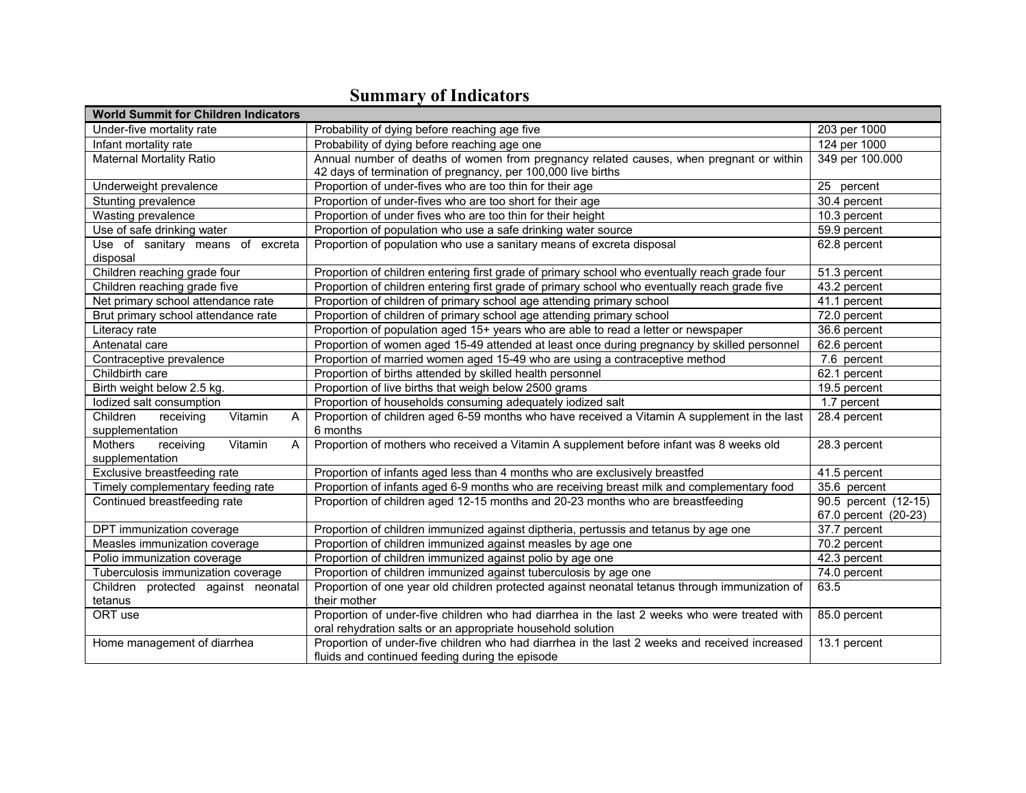| <b>World Summit for Children Indicators</b>       |                                                                                                |                      |
|---------------------------------------------------|------------------------------------------------------------------------------------------------|----------------------|
| Under-five mortality rate                         | Probability of dying before reaching age five                                                  | 203 per 1000         |
| Infant mortality rate                             | Probability of dying before reaching age one                                                   | 124 per 1000         |
| <b>Maternal Mortality Ratio</b>                   | Annual number of deaths of women from pregnancy related causes, when pregnant or within        | 349 per 100.000      |
|                                                   | 42 days of termination of pregnancy, per 100,000 live births                                   |                      |
| Underweight prevalence                            | Proportion of under-fives who are too thin for their age                                       | 25 percent           |
| Stunting prevalence                               | Proportion of under-fives who are too short for their age                                      | 30.4 percent         |
| Wasting prevalence                                | Proportion of under fives who are too thin for their height                                    | 10.3 percent         |
| Use of safe drinking water                        | Proportion of population who use a safe drinking water source                                  | 59.9 percent         |
| Use of sanitary means of excreta                  | Proportion of population who use a sanitary means of excreta disposal                          | 62.8 percent         |
| disposal                                          |                                                                                                |                      |
| Children reaching grade four                      | Proportion of children entering first grade of primary school who eventually reach grade four  | 51.3 percent         |
| Children reaching grade five                      | Proportion of children entering first grade of primary school who eventually reach grade five  | 43.2 percent         |
| Net primary school attendance rate                | Proportion of children of primary school age attending primary school                          | 41.1 percent         |
| Brut primary school attendance rate               | Proportion of children of primary school age attending primary school                          | 72.0 percent         |
| Literacy rate                                     | Proportion of population aged 15+ years who are able to read a letter or newspaper             | 36.6 percent         |
| Antenatal care                                    | Proportion of women aged 15-49 attended at least once during pregnancy by skilled personnel    | 62.6 percent         |
| Contraceptive prevalence                          | Proportion of married women aged 15-49 who are using a contraceptive method                    | 7.6 percent          |
| Childbirth care                                   | Proportion of births attended by skilled health personnel                                      | 62.1 percent         |
| Birth weight below 2.5 kg.                        | Proportion of live births that weigh below 2500 grams                                          | 19.5 percent         |
| lodized salt consumption                          | Proportion of households consuming adequately iodized salt                                     | 1.7 percent          |
| Children<br>receiving<br>Vitamin<br>A             | Proportion of children aged 6-59 months who have received a Vitamin A supplement in the last   | 28.4 percent         |
| supplementation                                   | 6 months                                                                                       |                      |
| Mothers<br>Vitamin<br>receiving<br>$\overline{A}$ | Proportion of mothers who received a Vitamin A supplement before infant was 8 weeks old        | 28.3 percent         |
| supplementation                                   |                                                                                                |                      |
| Exclusive breastfeeding rate                      | Proportion of infants aged less than 4 months who are exclusively breastfed                    | 41.5 percent         |
| Timely complementary feeding rate                 | Proportion of infants aged 6-9 months who are receiving breast milk and complementary food     | 35.6 percent         |
| Continued breastfeeding rate                      | Proportion of children aged 12-15 months and 20-23 months who are breastfeeding                | 90.5 percent (12-15) |
|                                                   |                                                                                                | 67.0 percent (20-23) |
| DPT immunization coverage                         | Proportion of children immunized against diptheria, pertussis and tetanus by age one           | 37.7 percent         |
| Measles immunization coverage                     | Proportion of children immunized against measles by age one                                    | 70.2 percent         |
| Polio immunization coverage                       | Proportion of children immunized against polio by age one                                      | 42.3 percent         |
| Tuberculosis immunization coverage                | Proportion of children immunized against tuberculosis by age one                               | 74.0 percent         |
| Children protected against neonatal               | Proportion of one year old children protected against neonatal tetanus through immunization of | 63.5                 |
| tetanus                                           | their mother                                                                                   |                      |
| ORT use                                           | Proportion of under-five children who had diarrhea in the last 2 weeks who were treated with   | 85.0 percent         |
|                                                   | oral rehydration salts or an appropriate household solution                                    |                      |
| Home management of diarrhea                       | Proportion of under-five children who had diarrhea in the last 2 weeks and received increased  | 13.1 percent         |
|                                                   | fluids and continued feeding during the episode                                                |                      |

# **Summary of Indicators**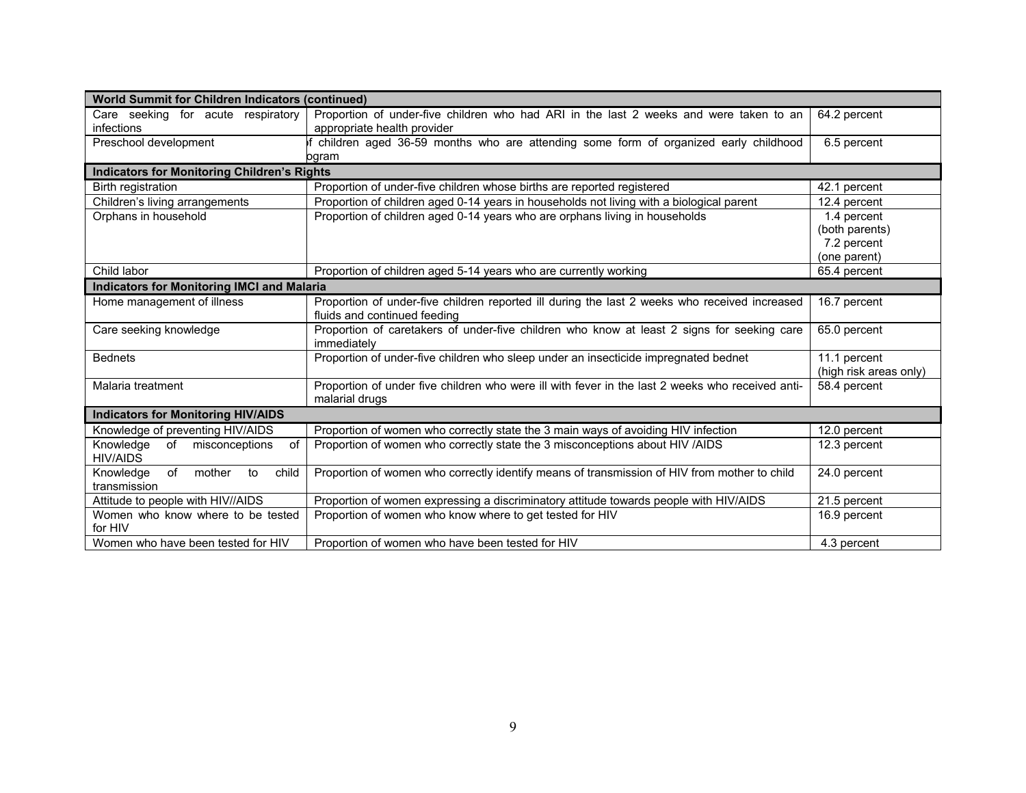| <b>World Summit for Children Indicators (continued)</b>    |                                                                                                                               |                                        |  |  |
|------------------------------------------------------------|-------------------------------------------------------------------------------------------------------------------------------|----------------------------------------|--|--|
| Care seeking for acute respiratory                         | Proportion of under-five children who had ARI in the last 2 weeks and were taken to an                                        | 64.2 percent                           |  |  |
| infections                                                 | appropriate health provider                                                                                                   |                                        |  |  |
| Preschool development                                      | children aged 36-59 months who are attending some form of organized early childhood                                           | 6.5 percent                            |  |  |
|                                                            | ogram                                                                                                                         |                                        |  |  |
| <b>Indicators for Monitoring Children's Rights</b>         |                                                                                                                               |                                        |  |  |
| Birth registration                                         | Proportion of under-five children whose births are reported registered                                                        | 42.1 percent                           |  |  |
| Children's living arrangements                             | Proportion of children aged 0-14 years in households not living with a biological parent                                      | 12.4 percent                           |  |  |
| Orphans in household                                       | Proportion of children aged 0-14 years who are orphans living in households                                                   | 1.4 percent                            |  |  |
|                                                            |                                                                                                                               | (both parents)                         |  |  |
|                                                            |                                                                                                                               | 7.2 percent                            |  |  |
|                                                            |                                                                                                                               | (one parent)                           |  |  |
| Child labor                                                | Proportion of children aged 5-14 years who are currently working                                                              | 65.4 percent                           |  |  |
| <b>Indicators for Monitoring IMCI and Malaria</b>          |                                                                                                                               |                                        |  |  |
| Home management of illness                                 | Proportion of under-five children reported ill during the last 2 weeks who received increased<br>fluids and continued feeding | 16.7 percent                           |  |  |
| Care seeking knowledge                                     | Proportion of caretakers of under-five children who know at least 2 signs for seeking care<br>immediately                     | 65.0 percent                           |  |  |
| <b>Bednets</b>                                             | Proportion of under-five children who sleep under an insecticide impregnated bednet                                           | 11.1 percent<br>(high risk areas only) |  |  |
| Malaria treatment                                          | Proportion of under five children who were ill with fever in the last 2 weeks who received anti-<br>malarial drugs            | 58.4 percent                           |  |  |
| <b>Indicators for Monitoring HIV/AIDS</b>                  |                                                                                                                               |                                        |  |  |
| Knowledge of preventing HIV/AIDS                           | Proportion of women who correctly state the 3 main ways of avoiding HIV infection                                             | 12.0 percent                           |  |  |
| Knowledge<br>misconceptions<br>of<br>of<br><b>HIV/AIDS</b> | Proportion of women who correctly state the 3 misconceptions about HIV /AIDS                                                  | 12.3 percent                           |  |  |
| Knowledge<br>of<br>mother<br>child<br>to<br>transmission   | Proportion of women who correctly identify means of transmission of HIV from mother to child                                  | 24.0 percent                           |  |  |
| Attitude to people with HIV//AIDS                          | Proportion of women expressing a discriminatory attitude towards people with HIV/AIDS                                         | 21.5 percent                           |  |  |
| Women who know where to be tested<br>for HIV               | Proportion of women who know where to get tested for HIV                                                                      | 16.9 percent                           |  |  |
| Women who have been tested for HIV                         | Proportion of women who have been tested for HIV                                                                              | 4.3 percent                            |  |  |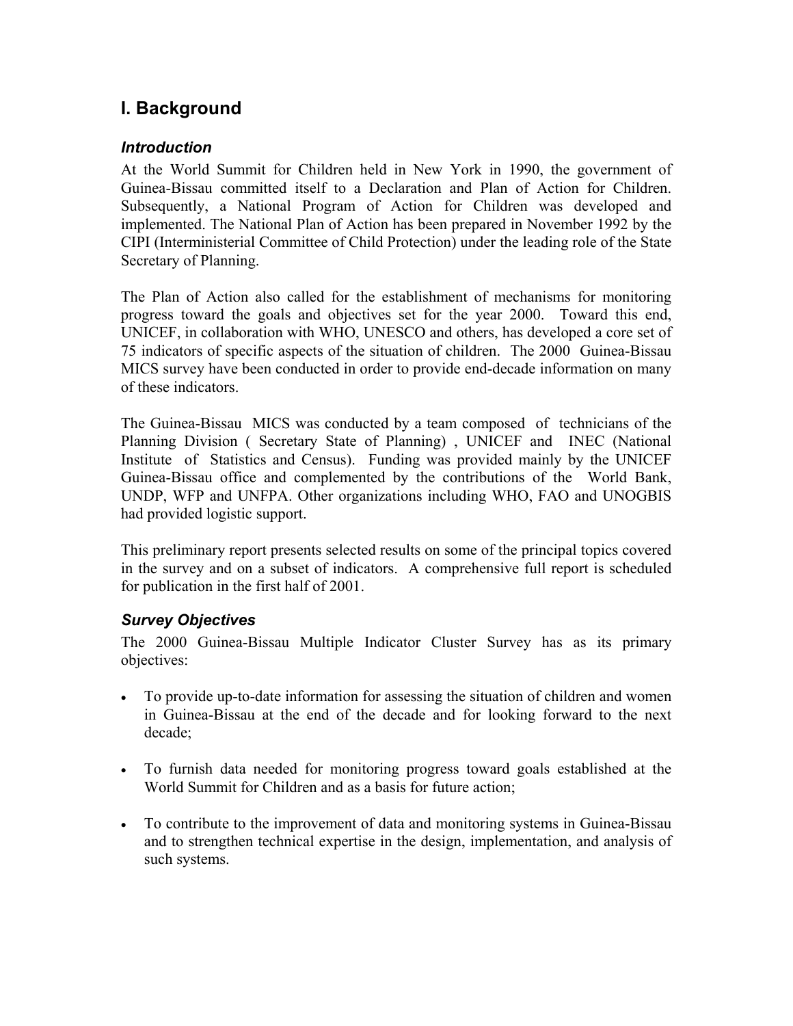# **I. Background**

#### *Introduction*

At the World Summit for Children held in New York in 1990, the government of Guinea-Bissau committed itself to a Declaration and Plan of Action for Children. Subsequently, a National Program of Action for Children was developed and implemented. The National Plan of Action has been prepared in November 1992 by the CIPI (Interministerial Committee of Child Protection) under the leading role of the State Secretary of Planning.

The Plan of Action also called for the establishment of mechanisms for monitoring progress toward the goals and objectives set for the year 2000. Toward this end, UNICEF, in collaboration with WHO, UNESCO and others, has developed a core set of 75 indicators of specific aspects of the situation of children. The 2000 Guinea-Bissau MICS survey have been conducted in order to provide end-decade information on many of these indicators.

The Guinea-Bissau MICS was conducted by a team composed of technicians of the Planning Division ( Secretary State of Planning) , UNICEF and INEC (National Institute of Statistics and Census). Funding was provided mainly by the UNICEF Guinea-Bissau office and complemented by the contributions of the World Bank, UNDP, WFP and UNFPA. Other organizations including WHO, FAO and UNOGBIS had provided logistic support.

This preliminary report presents selected results on some of the principal topics covered in the survey and on a subset of indicators. A comprehensive full report is scheduled for publication in the first half of 2001.

#### *Survey Objectives*

The 2000 Guinea-Bissau Multiple Indicator Cluster Survey has as its primary objectives:

- To provide up-to-date information for assessing the situation of children and women in Guinea-Bissau at the end of the decade and for looking forward to the next decade;
- To furnish data needed for monitoring progress toward goals established at the World Summit for Children and as a basis for future action;
- To contribute to the improvement of data and monitoring systems in Guinea-Bissau and to strengthen technical expertise in the design, implementation, and analysis of such systems.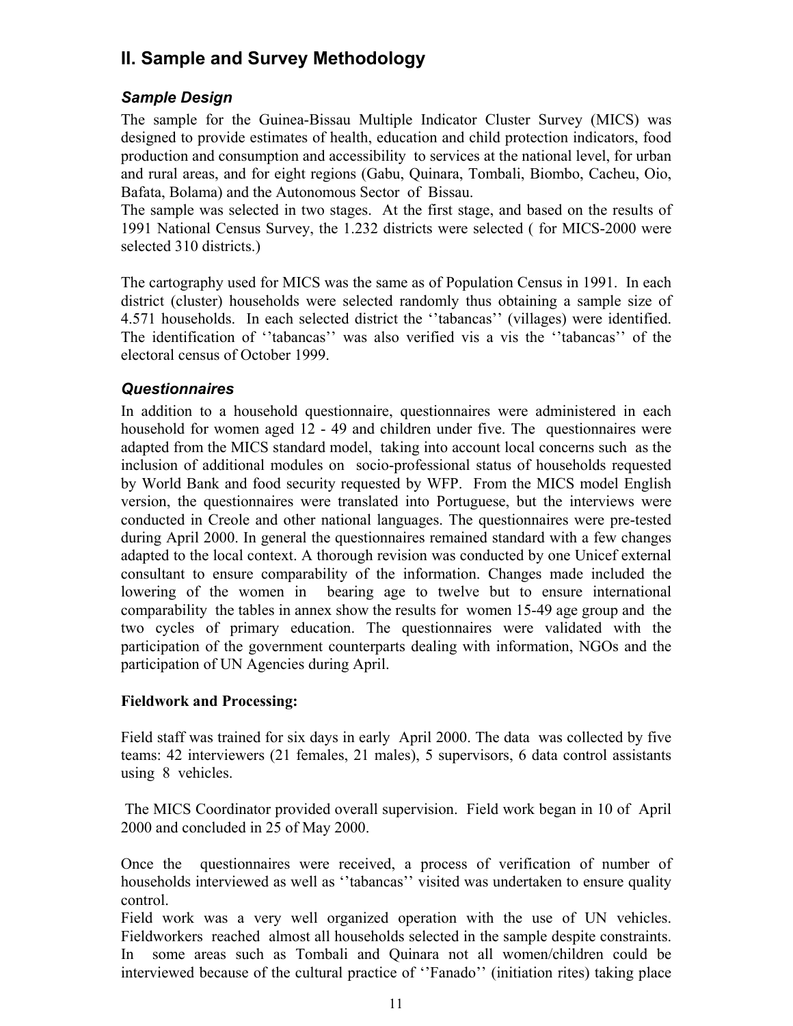# **II. Sample and Survey Methodology**

# *Sample Design*

The sample for the Guinea-Bissau Multiple Indicator Cluster Survey (MICS) was designed to provide estimates of health, education and child protection indicators, food production and consumption and accessibility to services at the national level, for urban and rural areas, and for eight regions (Gabu, Quinara, Tombali, Biombo, Cacheu, Oio, Bafata, Bolama) and the Autonomous Sector of Bissau.

The sample was selected in two stages. At the first stage, and based on the results of 1991 National Census Survey, the 1.232 districts were selected ( for MICS-2000 were selected 310 districts.)

The cartography used for MICS was the same as of Population Census in 1991. In each district (cluster) households were selected randomly thus obtaining a sample size of 4.571 households. In each selected district the ''tabancas'' (villages) were identified. The identification of ''tabancas'' was also verified vis a vis the ''tabancas'' of the electoral census of October 1999.

# *Questionnaires*

In addition to a household questionnaire, questionnaires were administered in each household for women aged 12 - 49 and children under five. The questionnaires were adapted from the MICS standard model, taking into account local concerns such as the inclusion of additional modules on socio-professional status of households requested by World Bank and food security requested by WFP. From the MICS model English version, the questionnaires were translated into Portuguese, but the interviews were conducted in Creole and other national languages. The questionnaires were pre-tested during April 2000. In general the questionnaires remained standard with a few changes adapted to the local context. A thorough revision was conducted by one Unicef external consultant to ensure comparability of the information. Changes made included the lowering of the women in bearing age to twelve but to ensure international comparability the tables in annex show the results for women 15-49 age group and the two cycles of primary education. The questionnaires were validated with the participation of the government counterparts dealing with information, NGOs and the participation of UN Agencies during April.

# **Fieldwork and Processing:**

Field staff was trained for six days in early April 2000. The data was collected by five teams: 42 interviewers (21 females, 21 males), 5 supervisors, 6 data control assistants using 8 vehicles.

 The MICS Coordinator provided overall supervision. Field work began in 10 of April 2000 and concluded in 25 of May 2000.

Once the questionnaires were received, a process of verification of number of households interviewed as well as ''tabancas'' visited was undertaken to ensure quality control.

Field work was a very well organized operation with the use of UN vehicles. Fieldworkers reached almost all households selected in the sample despite constraints. In some areas such as Tombali and Quinara not all women/children could be interviewed because of the cultural practice of ''Fanado'' (initiation rites) taking place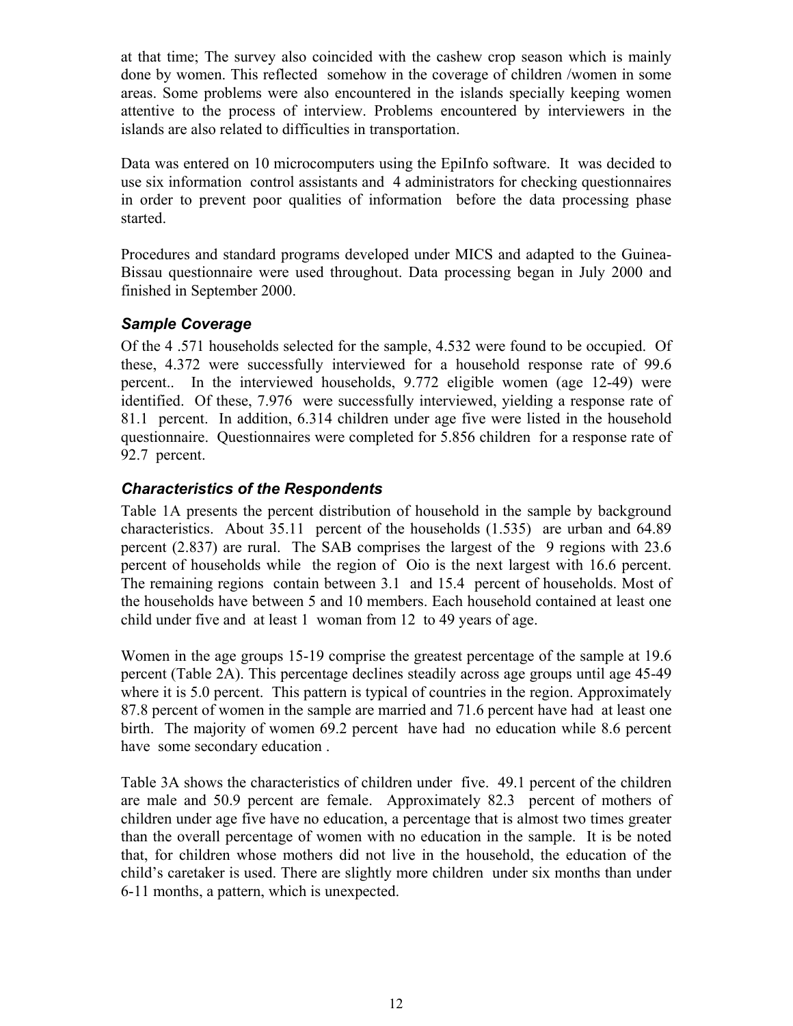at that time; The survey also coincided with the cashew crop season which is mainly done by women. This reflected somehow in the coverage of children /women in some areas. Some problems were also encountered in the islands specially keeping women attentive to the process of interview. Problems encountered by interviewers in the islands are also related to difficulties in transportation.

Data was entered on 10 microcomputers using the EpiInfo software. It was decided to use six information control assistants and 4 administrators for checking questionnaires in order to prevent poor qualities of information before the data processing phase started.

Procedures and standard programs developed under MICS and adapted to the Guinea-Bissau questionnaire were used throughout. Data processing began in July 2000 and finished in September 2000.

#### *Sample Coverage*

Of the 4 .571 households selected for the sample, 4.532 were found to be occupied. Of these, 4.372 were successfully interviewed for a household response rate of 99.6 percent.. In the interviewed households, 9.772 eligible women (age 12-49) were identified. Of these, 7.976 were successfully interviewed, yielding a response rate of 81.1 percent. In addition, 6.314 children under age five were listed in the household questionnaire. Questionnaires were completed for 5.856 children for a response rate of 92.7 percent.

# *Characteristics of the Respondents*

Table 1A presents the percent distribution of household in the sample by background characteristics. About 35.11 percent of the households (1.535) are urban and 64.89 percent (2.837) are rural. The SAB comprises the largest of the 9 regions with 23.6 percent of households while the region of Oio is the next largest with 16.6 percent. The remaining regions contain between 3.1 and 15.4 percent of households. Most of the households have between 5 and 10 members. Each household contained at least one child under five and at least 1 woman from 12 to 49 years of age.

Women in the age groups 15-19 comprise the greatest percentage of the sample at 19.6 percent (Table 2A). This percentage declines steadily across age groups until age 45-49 where it is 5.0 percent. This pattern is typical of countries in the region. Approximately 87.8 percent of women in the sample are married and 71.6 percent have had at least one birth. The majority of women 69.2 percent have had no education while 8.6 percent have some secondary education .

Table 3A shows the characteristics of children under five. 49.1 percent of the children are male and 50.9 percent are female. Approximately 82.3 percent of mothers of children under age five have no education, a percentage that is almost two times greater than the overall percentage of women with no education in the sample. It is be noted that, for children whose mothers did not live in the household, the education of the child's caretaker is used. There are slightly more children under six months than under 6-11 months, a pattern, which is unexpected.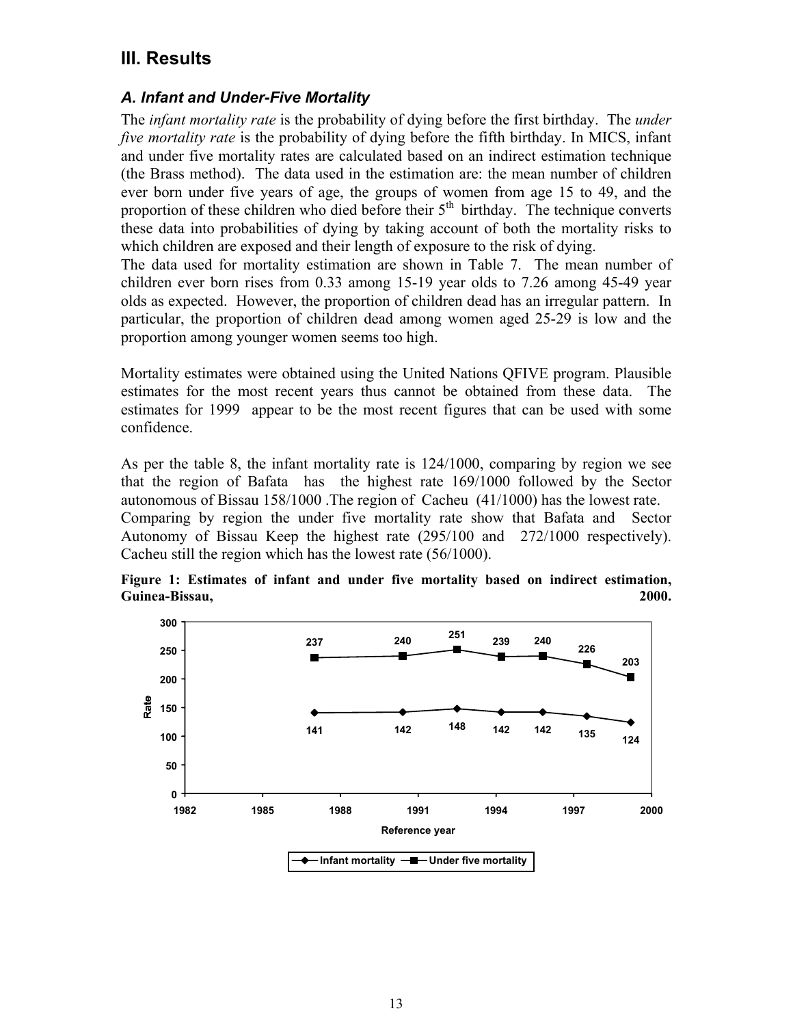# **III. Results**

### *A. Infant and Under-Five Mortality*

The *infant mortality rate* is the probability of dying before the first birthday. The *under five mortality rate* is the probability of dying before the fifth birthday. In MICS, infant and under five mortality rates are calculated based on an indirect estimation technique (the Brass method). The data used in the estimation are: the mean number of children ever born under five years of age, the groups of women from age 15 to 49, and the proportion of these children who died before their  $5<sup>th</sup>$  birthday. The technique converts these data into probabilities of dying by taking account of both the mortality risks to which children are exposed and their length of exposure to the risk of dying.

The data used for mortality estimation are shown in Table 7. The mean number of children ever born rises from 0.33 among 15-19 year olds to 7.26 among 45-49 year olds as expected. However, the proportion of children dead has an irregular pattern. In particular, the proportion of children dead among women aged 25-29 is low and the proportion among younger women seems too high.

Mortality estimates were obtained using the United Nations QFIVE program. Plausible estimates for the most recent years thus cannot be obtained from these data. The estimates for 1999 appear to be the most recent figures that can be used with some confidence.

As per the table 8, the infant mortality rate is 124/1000, comparing by region we see that the region of Bafata has the highest rate 169/1000 followed by the Sector autonomous of Bissau 158/1000 .The region of Cacheu (41/1000) has the lowest rate. Comparing by region the under five mortality rate show that Bafata and Sector Autonomy of Bissau Keep the highest rate (295/100 and 272/1000 respectively). Cacheu still the region which has the lowest rate (56/1000).



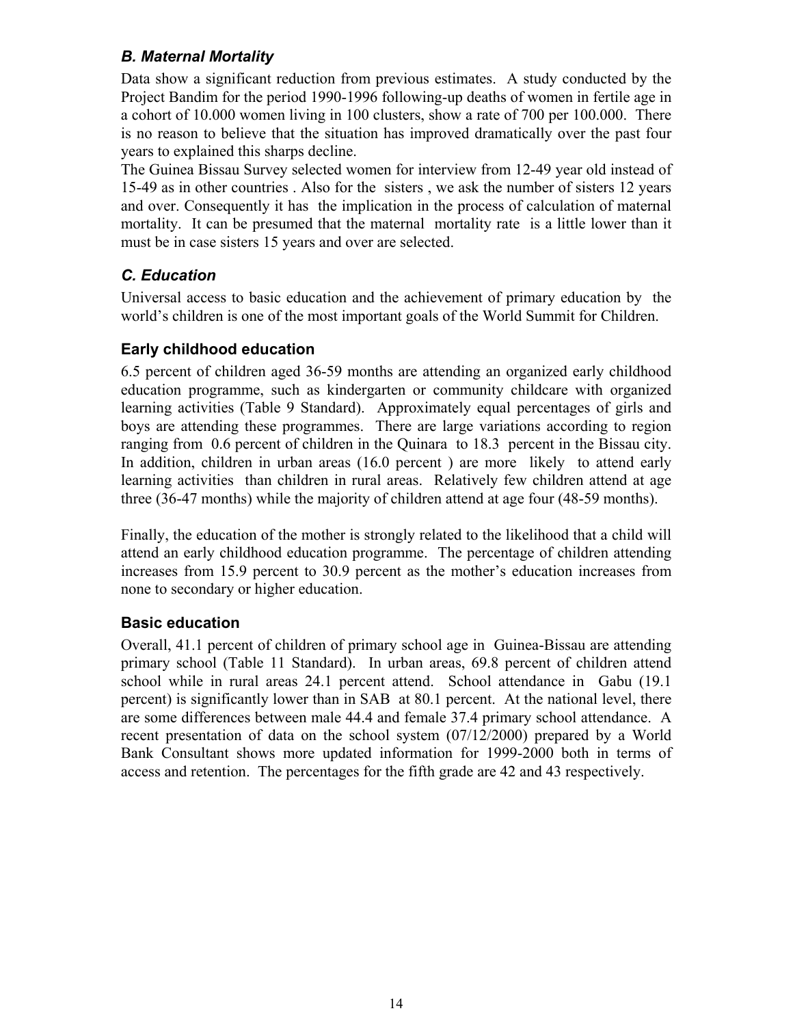# *B. Maternal Mortality*

Data show a significant reduction from previous estimates. A study conducted by the Project Bandim for the period 1990-1996 following-up deaths of women in fertile age in a cohort of 10.000 women living in 100 clusters, show a rate of 700 per 100.000. There is no reason to believe that the situation has improved dramatically over the past four years to explained this sharps decline.

The Guinea Bissau Survey selected women for interview from 12-49 year old instead of 15-49 as in other countries . Also for the sisters , we ask the number of sisters 12 years and over. Consequently it has the implication in the process of calculation of maternal mortality. It can be presumed that the maternal mortality rate is a little lower than it must be in case sisters 15 years and over are selected.

# *C. Education*

Universal access to basic education and the achievement of primary education by the world's children is one of the most important goals of the World Summit for Children.

# **Early childhood education**

6.5 percent of children aged 36-59 months are attending an organized early childhood education programme, such as kindergarten or community childcare with organized learning activities (Table 9 Standard). Approximately equal percentages of girls and boys are attending these programmes. There are large variations according to region ranging from 0.6 percent of children in the Quinara to 18.3 percent in the Bissau city. In addition, children in urban areas (16.0 percent ) are more likely to attend early learning activities than children in rural areas. Relatively few children attend at age three (36-47 months) while the majority of children attend at age four (48-59 months).

Finally, the education of the mother is strongly related to the likelihood that a child will attend an early childhood education programme. The percentage of children attending increases from 15.9 percent to 30.9 percent as the mother's education increases from none to secondary or higher education.

# **Basic education**

Overall, 41.1 percent of children of primary school age in Guinea-Bissau are attending primary school (Table 11 Standard). In urban areas, 69.8 percent of children attend school while in rural areas 24.1 percent attend. School attendance in Gabu (19.1 percent) is significantly lower than in SAB at 80.1 percent. At the national level, there are some differences between male 44.4 and female 37.4 primary school attendance. A recent presentation of data on the school system (07/12/2000) prepared by a World Bank Consultant shows more updated information for 1999-2000 both in terms of access and retention. The percentages for the fifth grade are 42 and 43 respectively.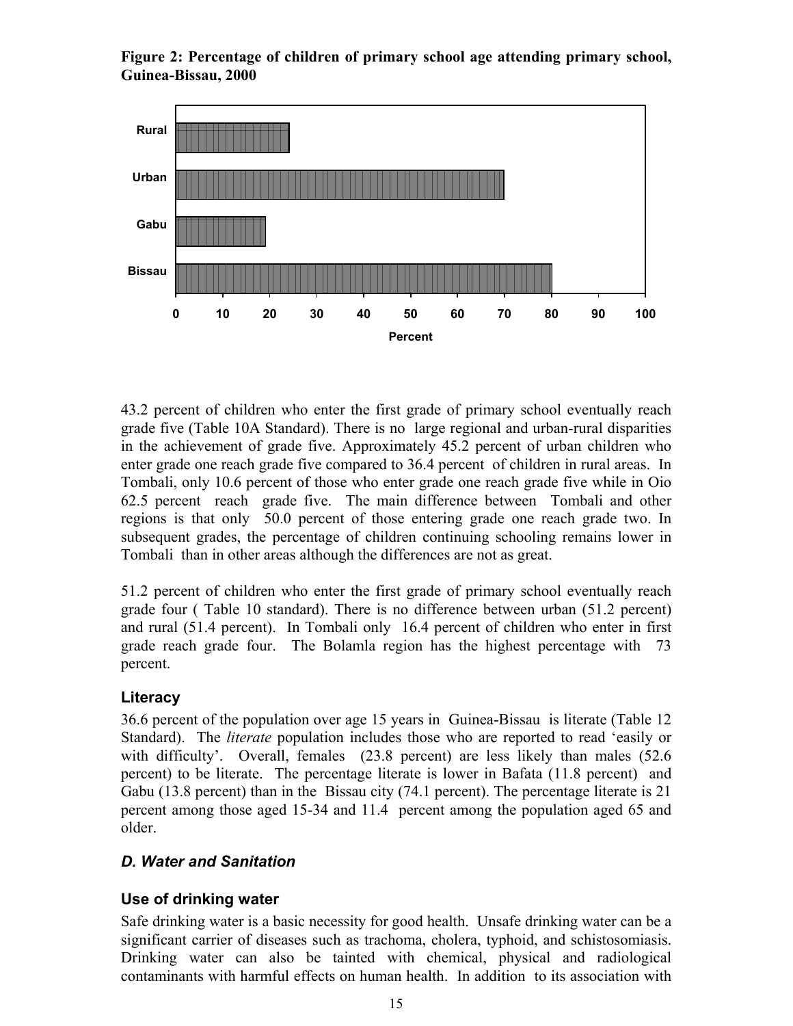**Figure 2: Percentage of children of primary school age attending primary school, Guinea-Bissau, 2000**



43.2 percent of children who enter the first grade of primary school eventually reach grade five (Table 10A Standard). There is no large regional and urban-rural disparities in the achievement of grade five. Approximately 45.2 percent of urban children who enter grade one reach grade five compared to 36.4 percent of children in rural areas. In Tombali, only 10.6 percent of those who enter grade one reach grade five while in Oio 62.5 percent reach grade five. The main difference between Tombali and other regions is that only 50.0 percent of those entering grade one reach grade two. In subsequent grades, the percentage of children continuing schooling remains lower in Tombali than in other areas although the differences are not as great.

51.2 percent of children who enter the first grade of primary school eventually reach grade four ( Table 10 standard). There is no difference between urban (51.2 percent) and rural (51.4 percent). In Tombali only 16.4 percent of children who enter in first grade reach grade four. The Bolamla region has the highest percentage with 73 percent.

#### **Literacy**

36.6 percent of the population over age 15 years in Guinea-Bissau is literate (Table 12 Standard). The *literate* population includes those who are reported to read 'easily or with difficulty'. Overall, females (23.8 percent) are less likely than males (52.6 percent) to be literate. The percentage literate is lower in Bafata (11.8 percent) and Gabu (13.8 percent) than in the Bissau city (74.1 percent). The percentage literate is 21 percent among those aged 15-34 and 11.4 percent among the population aged 65 and older.

# *D. Water and Sanitation*

# **Use of drinking water**

Safe drinking water is a basic necessity for good health. Unsafe drinking water can be a significant carrier of diseases such as trachoma, cholera, typhoid, and schistosomiasis. Drinking water can also be tainted with chemical, physical and radiological contaminants with harmful effects on human health. In addition to its association with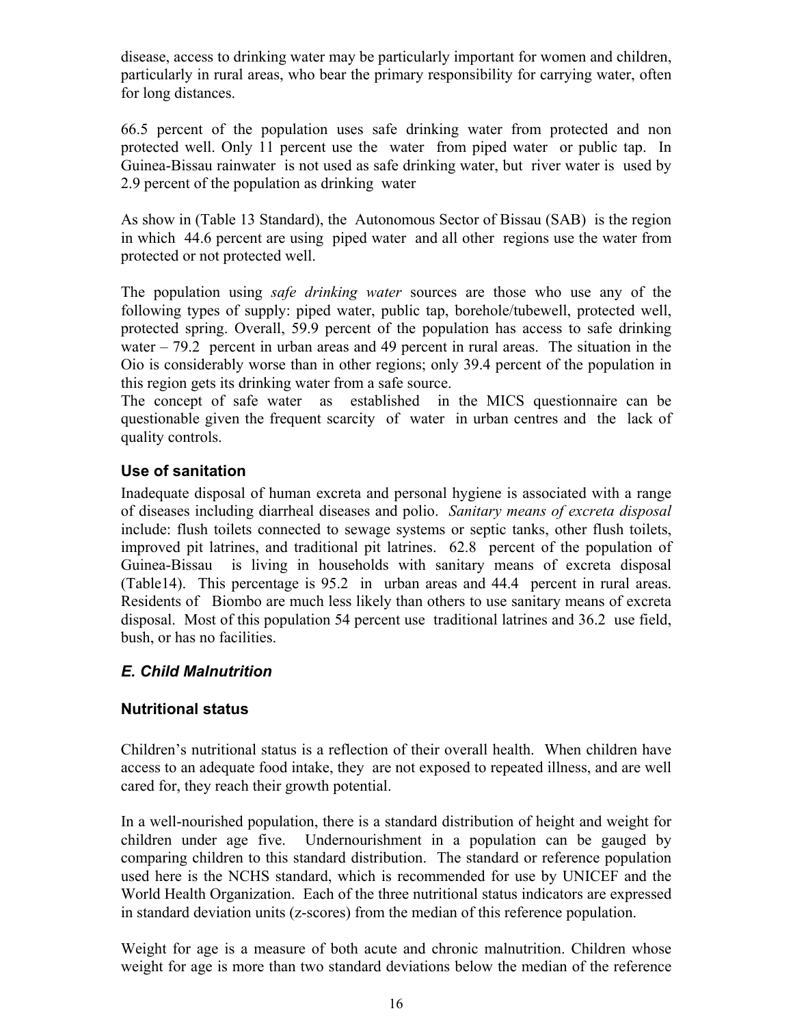disease, access to drinking water may be particularly important for women and children, particularly in rural areas, who bear the primary responsibility for carrying water, often for long distances.

66.5 percent of the population uses safe drinking water from protected and non protected well. Only 11 percent use the water from piped water or public tap. In Guinea-Bissau rainwater is not used as safe drinking water, but river water is used by 2.9 percent of the population as drinking water

As show in (Table 13 Standard), the Autonomous Sector of Bissau (SAB) is the region in which 44.6 percent are using piped water and all other regions use the water from protected or not protected well.

The population using *safe drinking water* sources are those who use any of the following types of supply: piped water, public tap, borehole/tubewell, protected well, protected spring. Overall, 59.9 percent of the population has access to safe drinking water – 79.2 percent in urban areas and 49 percent in rural areas. The situation in the Oio is considerably worse than in other regions; only 39.4 percent of the population in this region gets its drinking water from a safe source.

The concept of safe water as established in the MICS questionnaire can be questionable given the frequent scarcity of water in urban centres and the lack of quality controls.

# **Use of sanitation**

Inadequate disposal of human excreta and personal hygiene is associated with a range of diseases including diarrheal diseases and polio. *Sanitary means of excreta disposal* include: flush toilets connected to sewage systems or septic tanks, other flush toilets, improved pit latrines, and traditional pit latrines. 62.8 percent of the population of Guinea-Bissau is living in households with sanitary means of excreta disposal (Table14). This percentage is 95.2 in urban areas and 44.4 percent in rural areas. Residents of Biombo are much less likely than others to use sanitary means of excreta disposal. Most of this population 54 percent use traditional latrines and 36.2 use field, bush, or has no facilities.

# *E. Child Malnutrition*

#### **Nutritional status**

Children's nutritional status is a reflection of their overall health. When children have access to an adequate food intake, they are not exposed to repeated illness, and are well cared for, they reach their growth potential.

In a well-nourished population, there is a standard distribution of height and weight for children under age five. Undernourishment in a population can be gauged by comparing children to this standard distribution. The standard or reference population used here is the NCHS standard, which is recommended for use by UNICEF and the World Health Organization. Each of the three nutritional status indicators are expressed in standard deviation units (z-scores) from the median of this reference population.

Weight for age is a measure of both acute and chronic malnutrition. Children whose weight for age is more than two standard deviations below the median of the reference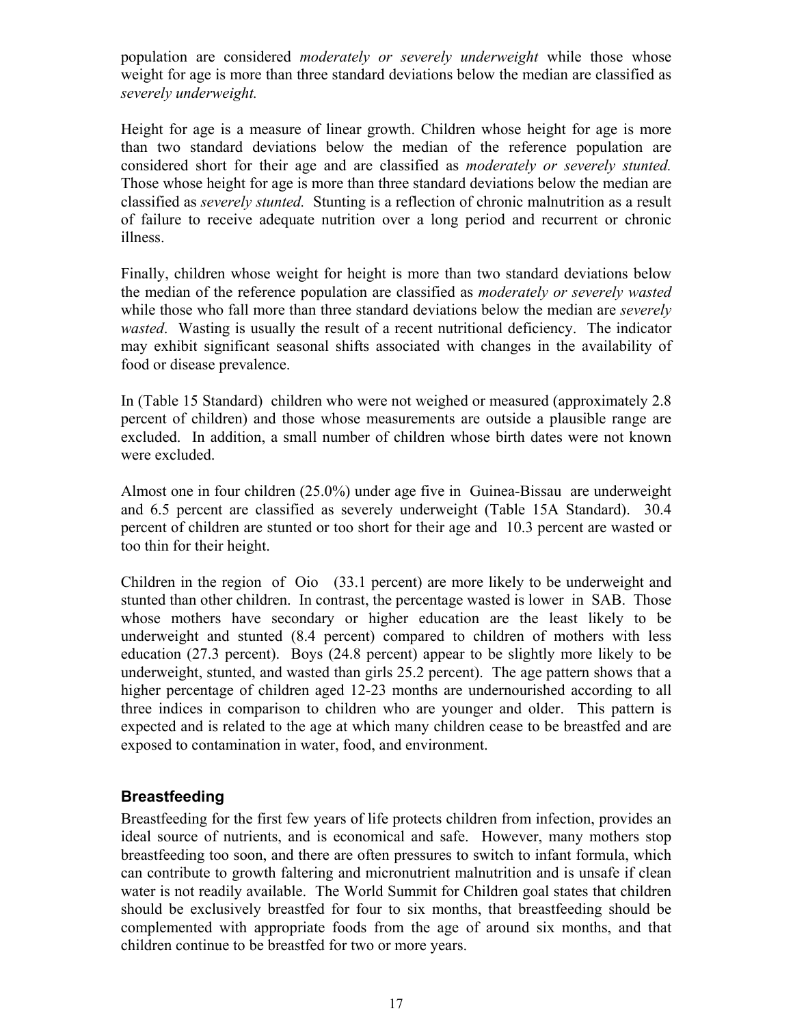population are considered *moderately or severely underweight* while those whose weight for age is more than three standard deviations below the median are classified as *severely underweight.*

Height for age is a measure of linear growth. Children whose height for age is more than two standard deviations below the median of the reference population are considered short for their age and are classified as *moderately or severely stunted.* Those whose height for age is more than three standard deviations below the median are classified as *severely stunted.* Stunting is a reflection of chronic malnutrition as a result of failure to receive adequate nutrition over a long period and recurrent or chronic illness.

Finally, children whose weight for height is more than two standard deviations below the median of the reference population are classified as *moderately or severely wasted* while those who fall more than three standard deviations below the median are *severely wasted*. Wasting is usually the result of a recent nutritional deficiency. The indicator may exhibit significant seasonal shifts associated with changes in the availability of food or disease prevalence.

In (Table 15 Standard) children who were not weighed or measured (approximately 2.8 percent of children) and those whose measurements are outside a plausible range are excluded. In addition, a small number of children whose birth dates were not known were excluded.

Almost one in four children (25.0%) under age five in Guinea-Bissau are underweight and 6.5 percent are classified as severely underweight (Table 15A Standard). 30.4 percent of children are stunted or too short for their age and 10.3 percent are wasted or too thin for their height.

Children in the region of Oio (33.1 percent) are more likely to be underweight and stunted than other children. In contrast, the percentage wasted is lower in SAB. Those whose mothers have secondary or higher education are the least likely to be underweight and stunted (8.4 percent) compared to children of mothers with less education (27.3 percent). Boys (24.8 percent) appear to be slightly more likely to be underweight, stunted, and wasted than girls 25.2 percent). The age pattern shows that a higher percentage of children aged 12-23 months are undernourished according to all three indices in comparison to children who are younger and older. This pattern is expected and is related to the age at which many children cease to be breastfed and are exposed to contamination in water, food, and environment.

# **Breastfeeding**

Breastfeeding for the first few years of life protects children from infection, provides an ideal source of nutrients, and is economical and safe. However, many mothers stop breastfeeding too soon, and there are often pressures to switch to infant formula, which can contribute to growth faltering and micronutrient malnutrition and is unsafe if clean water is not readily available. The World Summit for Children goal states that children should be exclusively breastfed for four to six months, that breastfeeding should be complemented with appropriate foods from the age of around six months, and that children continue to be breastfed for two or more years.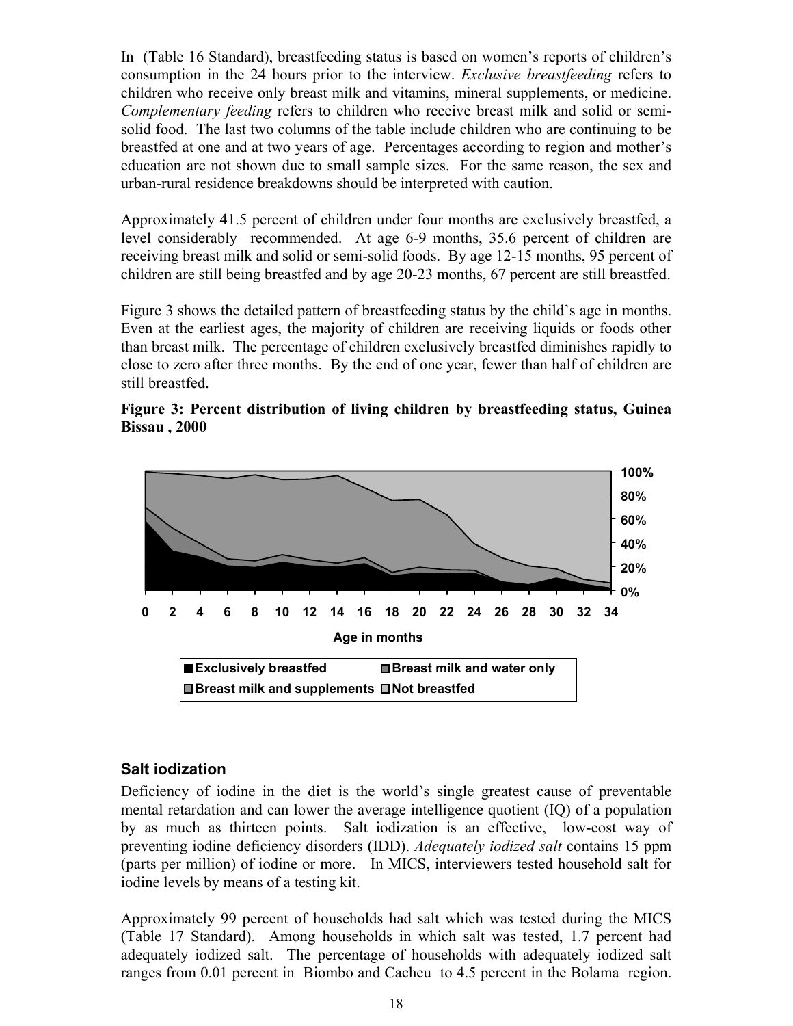In (Table 16 Standard), breastfeeding status is based on women's reports of children's consumption in the 24 hours prior to the interview. *Exclusive breastfeeding* refers to children who receive only breast milk and vitamins, mineral supplements, or medicine. *Complementary feeding* refers to children who receive breast milk and solid or semisolid food. The last two columns of the table include children who are continuing to be breastfed at one and at two years of age. Percentages according to region and mother's education are not shown due to small sample sizes. For the same reason, the sex and urban-rural residence breakdowns should be interpreted with caution.

Approximately 41.5 percent of children under four months are exclusively breastfed, a level considerably recommended. At age 6-9 months, 35.6 percent of children are receiving breast milk and solid or semi-solid foods. By age 12-15 months, 95 percent of children are still being breastfed and by age 20-23 months, 67 percent are still breastfed.

Figure 3 shows the detailed pattern of breastfeeding status by the child's age in months. Even at the earliest ages, the majority of children are receiving liquids or foods other than breast milk. The percentage of children exclusively breastfed diminishes rapidly to close to zero after three months. By the end of one year, fewer than half of children are still breastfed.





#### **Salt iodization**

Deficiency of iodine in the diet is the world's single greatest cause of preventable mental retardation and can lower the average intelligence quotient (IQ) of a population by as much as thirteen points. Salt iodization is an effective, low-cost way of preventing iodine deficiency disorders (IDD). *Adequately iodized salt* contains 15 ppm (parts per million) of iodine or more. In MICS, interviewers tested household salt for iodine levels by means of a testing kit.

Approximately 99 percent of households had salt which was tested during the MICS (Table 17 Standard). Among households in which salt was tested, 1.7 percent had adequately iodized salt. The percentage of households with adequately iodized salt ranges from 0.01 percent in Biombo and Cacheu to 4.5 percent in the Bolama region.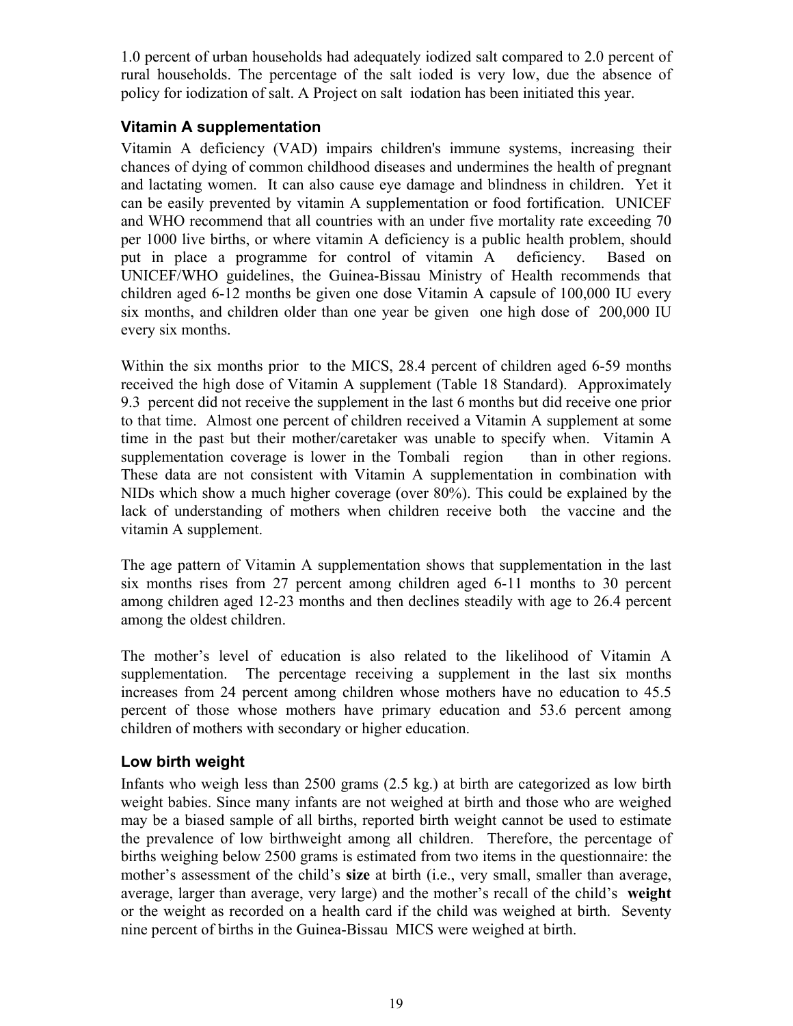1.0 percent of urban households had adequately iodized salt compared to 2.0 percent of rural households. The percentage of the salt ioded is very low, due the absence of policy for iodization of salt. A Project on salt iodation has been initiated this year.

## **Vitamin A supplementation**

Vitamin A deficiency (VAD) impairs children's immune systems, increasing their chances of dying of common childhood diseases and undermines the health of pregnant and lactating women. It can also cause eye damage and blindness in children. Yet it can be easily prevented by vitamin A supplementation or food fortification. UNICEF and WHO recommend that all countries with an under five mortality rate exceeding 70 per 1000 live births, or where vitamin A deficiency is a public health problem, should put in place a programme for control of vitamin A deficiency. Based on UNICEF/WHO guidelines, the Guinea-Bissau Ministry of Health recommends that children aged 6-12 months be given one dose Vitamin A capsule of 100,000 IU every six months, and children older than one year be given one high dose of 200,000 IU every six months.

Within the six months prior to the MICS, 28.4 percent of children aged 6-59 months received the high dose of Vitamin A supplement (Table 18 Standard). Approximately 9.3 percent did not receive the supplement in the last 6 months but did receive one prior to that time. Almost one percent of children received a Vitamin A supplement at some time in the past but their mother/caretaker was unable to specify when. Vitamin A supplementation coverage is lower in the Tombali region than in other regions. These data are not consistent with Vitamin A supplementation in combination with NIDs which show a much higher coverage (over 80%). This could be explained by the lack of understanding of mothers when children receive both the vaccine and the vitamin A supplement.

The age pattern of Vitamin A supplementation shows that supplementation in the last six months rises from 27 percent among children aged 6-11 months to 30 percent among children aged 12-23 months and then declines steadily with age to 26.4 percent among the oldest children.

The mother's level of education is also related to the likelihood of Vitamin A supplementation. The percentage receiving a supplement in the last six months increases from 24 percent among children whose mothers have no education to 45.5 percent of those whose mothers have primary education and 53.6 percent among children of mothers with secondary or higher education.

#### **Low birth weight**

Infants who weigh less than 2500 grams (2.5 kg.) at birth are categorized as low birth weight babies. Since many infants are not weighed at birth and those who are weighed may be a biased sample of all births, reported birth weight cannot be used to estimate the prevalence of low birthweight among all children. Therefore, the percentage of births weighing below 2500 grams is estimated from two items in the questionnaire: the mother's assessment of the child's **size** at birth (i.e., very small, smaller than average, average, larger than average, very large) and the mother's recall of the child's **weight** or the weight as recorded on a health card if the child was weighed at birth. Seventy nine percent of births in the Guinea-Bissau MICS were weighed at birth.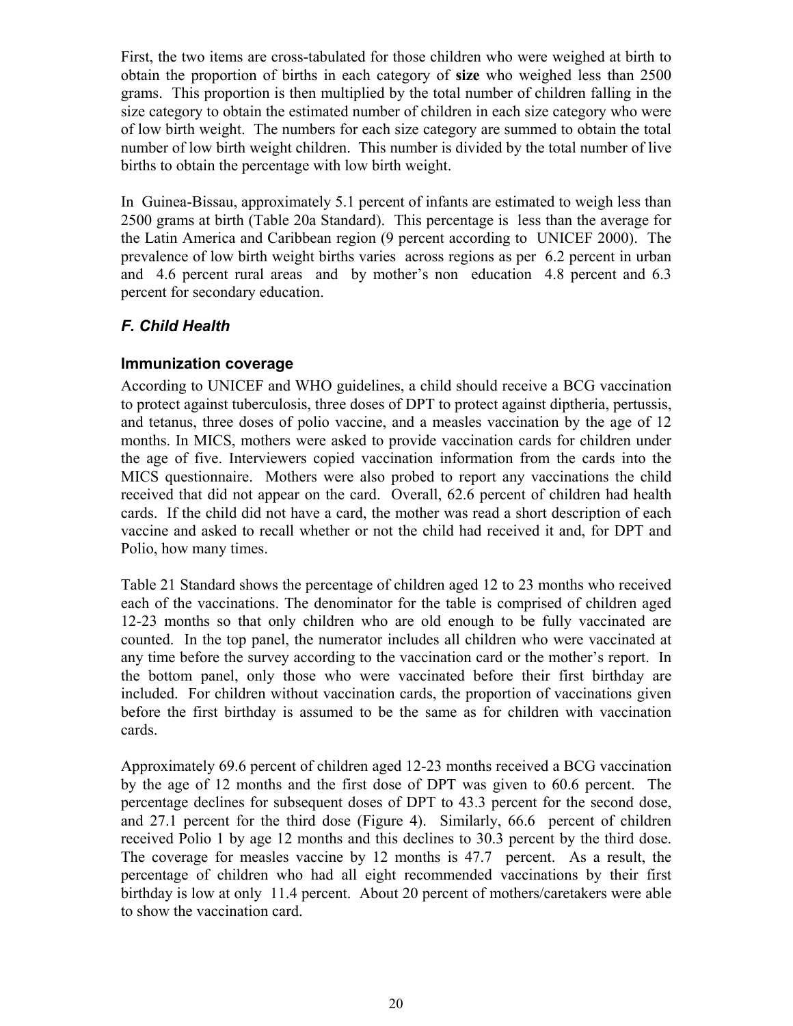First, the two items are cross-tabulated for those children who were weighed at birth to obtain the proportion of births in each category of **size** who weighed less than 2500 grams. This proportion is then multiplied by the total number of children falling in the size category to obtain the estimated number of children in each size category who were of low birth weight. The numbers for each size category are summed to obtain the total number of low birth weight children. This number is divided by the total number of live births to obtain the percentage with low birth weight.

In Guinea-Bissau, approximately 5.1 percent of infants are estimated to weigh less than 2500 grams at birth (Table 20a Standard). This percentage is less than the average for the Latin America and Caribbean region (9 percent according to UNICEF 2000). The prevalence of low birth weight births varies across regions as per 6.2 percent in urban and 4.6 percent rural areas and by mother's non education 4.8 percent and 6.3 percent for secondary education.

### *F. Child Health*

#### **Immunization coverage**

According to UNICEF and WHO guidelines, a child should receive a BCG vaccination to protect against tuberculosis, three doses of DPT to protect against diptheria, pertussis, and tetanus, three doses of polio vaccine, and a measles vaccination by the age of 12 months. In MICS, mothers were asked to provide vaccination cards for children under the age of five. Interviewers copied vaccination information from the cards into the MICS questionnaire. Mothers were also probed to report any vaccinations the child received that did not appear on the card. Overall, 62.6 percent of children had health cards. If the child did not have a card, the mother was read a short description of each vaccine and asked to recall whether or not the child had received it and, for DPT and Polio, how many times.

Table 21 Standard shows the percentage of children aged 12 to 23 months who received each of the vaccinations. The denominator for the table is comprised of children aged 12-23 months so that only children who are old enough to be fully vaccinated are counted. In the top panel, the numerator includes all children who were vaccinated at any time before the survey according to the vaccination card or the mother's report. In the bottom panel, only those who were vaccinated before their first birthday are included. For children without vaccination cards, the proportion of vaccinations given before the first birthday is assumed to be the same as for children with vaccination cards.

Approximately 69.6 percent of children aged 12-23 months received a BCG vaccination by the age of 12 months and the first dose of DPT was given to 60.6 percent. The percentage declines for subsequent doses of DPT to 43.3 percent for the second dose, and 27.1 percent for the third dose (Figure 4). Similarly, 66.6 percent of children received Polio 1 by age 12 months and this declines to 30.3 percent by the third dose. The coverage for measles vaccine by 12 months is 47.7 percent. As a result, the percentage of children who had all eight recommended vaccinations by their first birthday is low at only 11.4 percent. About 20 percent of mothers/caretakers were able to show the vaccination card.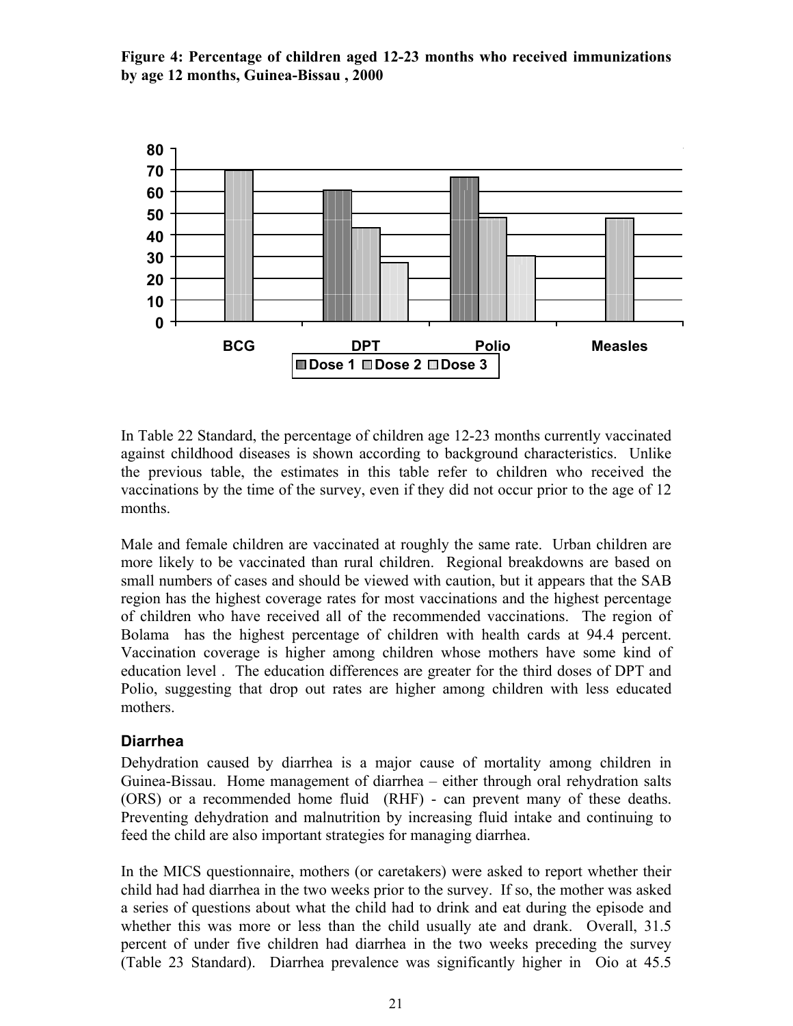



In Table 22 Standard, the percentage of children age 12-23 months currently vaccinated against childhood diseases is shown according to background characteristics. Unlike the previous table, the estimates in this table refer to children who received the vaccinations by the time of the survey, even if they did not occur prior to the age of 12 months.

Male and female children are vaccinated at roughly the same rate. Urban children are more likely to be vaccinated than rural children. Regional breakdowns are based on small numbers of cases and should be viewed with caution, but it appears that the SAB region has the highest coverage rates for most vaccinations and the highest percentage of children who have received all of the recommended vaccinations. The region of Bolama has the highest percentage of children with health cards at 94.4 percent. Vaccination coverage is higher among children whose mothers have some kind of education level . The education differences are greater for the third doses of DPT and Polio, suggesting that drop out rates are higher among children with less educated mothers.

#### **Diarrhea**

Dehydration caused by diarrhea is a major cause of mortality among children in Guinea-Bissau. Home management of diarrhea – either through oral rehydration salts (ORS) or a recommended home fluid (RHF) - can prevent many of these deaths. Preventing dehydration and malnutrition by increasing fluid intake and continuing to feed the child are also important strategies for managing diarrhea.

In the MICS questionnaire, mothers (or caretakers) were asked to report whether their child had had diarrhea in the two weeks prior to the survey. If so, the mother was asked a series of questions about what the child had to drink and eat during the episode and whether this was more or less than the child usually ate and drank. Overall, 31.5 percent of under five children had diarrhea in the two weeks preceding the survey (Table 23 Standard). Diarrhea prevalence was significantly higher in Oio at 45.5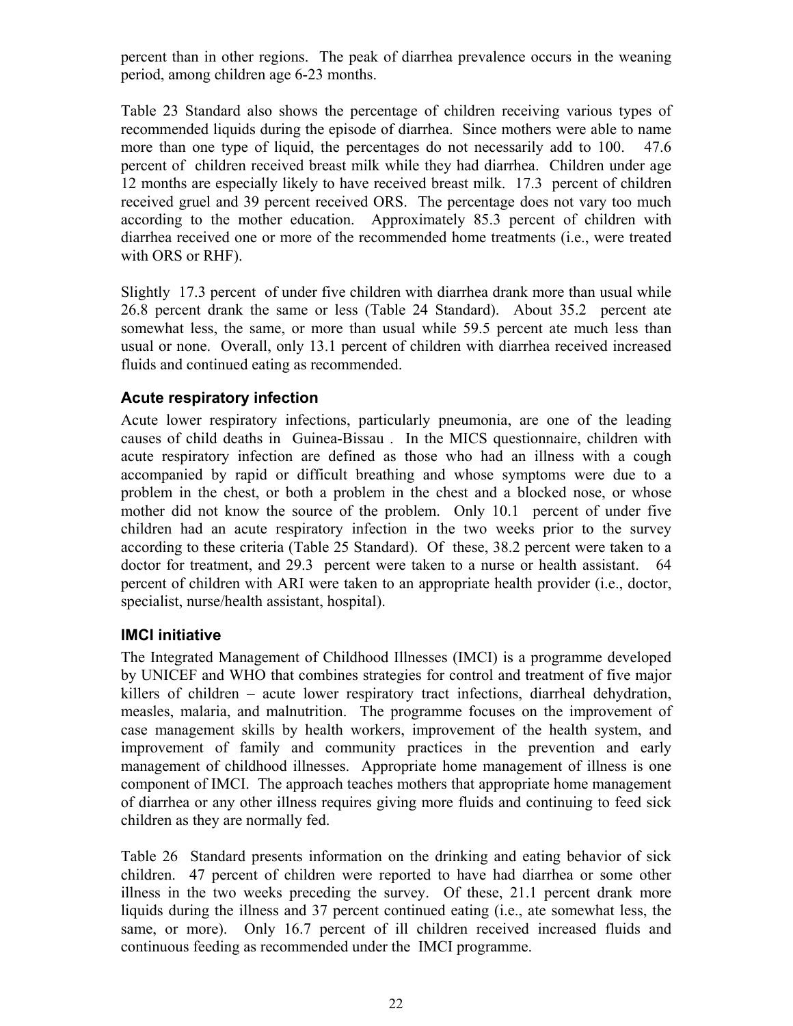percent than in other regions. The peak of diarrhea prevalence occurs in the weaning period, among children age 6-23 months.

Table 23 Standard also shows the percentage of children receiving various types of recommended liquids during the episode of diarrhea. Since mothers were able to name more than one type of liquid, the percentages do not necessarily add to 100. 47.6 percent of children received breast milk while they had diarrhea. Children under age 12 months are especially likely to have received breast milk. 17.3 percent of children received gruel and 39 percent received ORS. The percentage does not vary too much according to the mother education. Approximately 85.3 percent of children with diarrhea received one or more of the recommended home treatments (i.e., were treated with ORS or RHF).

Slightly 17.3 percent of under five children with diarrhea drank more than usual while 26.8 percent drank the same or less (Table 24 Standard). About 35.2 percent ate somewhat less, the same, or more than usual while 59.5 percent ate much less than usual or none. Overall, only 13.1 percent of children with diarrhea received increased fluids and continued eating as recommended.

#### **Acute respiratory infection**

Acute lower respiratory infections, particularly pneumonia, are one of the leading causes of child deaths in Guinea-Bissau . In the MICS questionnaire, children with acute respiratory infection are defined as those who had an illness with a cough accompanied by rapid or difficult breathing and whose symptoms were due to a problem in the chest, or both a problem in the chest and a blocked nose, or whose mother did not know the source of the problem. Only 10.1 percent of under five children had an acute respiratory infection in the two weeks prior to the survey according to these criteria (Table 25 Standard). Of these, 38.2 percent were taken to a doctor for treatment, and 29.3 percent were taken to a nurse or health assistant. 64 percent of children with ARI were taken to an appropriate health provider (i.e., doctor, specialist, nurse/health assistant, hospital).

#### **IMCI initiative**

The Integrated Management of Childhood Illnesses (IMCI) is a programme developed by UNICEF and WHO that combines strategies for control and treatment of five major killers of children – acute lower respiratory tract infections, diarrheal dehydration, measles, malaria, and malnutrition. The programme focuses on the improvement of case management skills by health workers, improvement of the health system, and improvement of family and community practices in the prevention and early management of childhood illnesses. Appropriate home management of illness is one component of IMCI. The approach teaches mothers that appropriate home management of diarrhea or any other illness requires giving more fluids and continuing to feed sick children as they are normally fed.

Table 26 Standard presents information on the drinking and eating behavior of sick children. 47 percent of children were reported to have had diarrhea or some other illness in the two weeks preceding the survey. Of these, 21.1 percent drank more liquids during the illness and 37 percent continued eating (i.e., ate somewhat less, the same, or more). Only 16.7 percent of ill children received increased fluids and continuous feeding as recommended under the IMCI programme.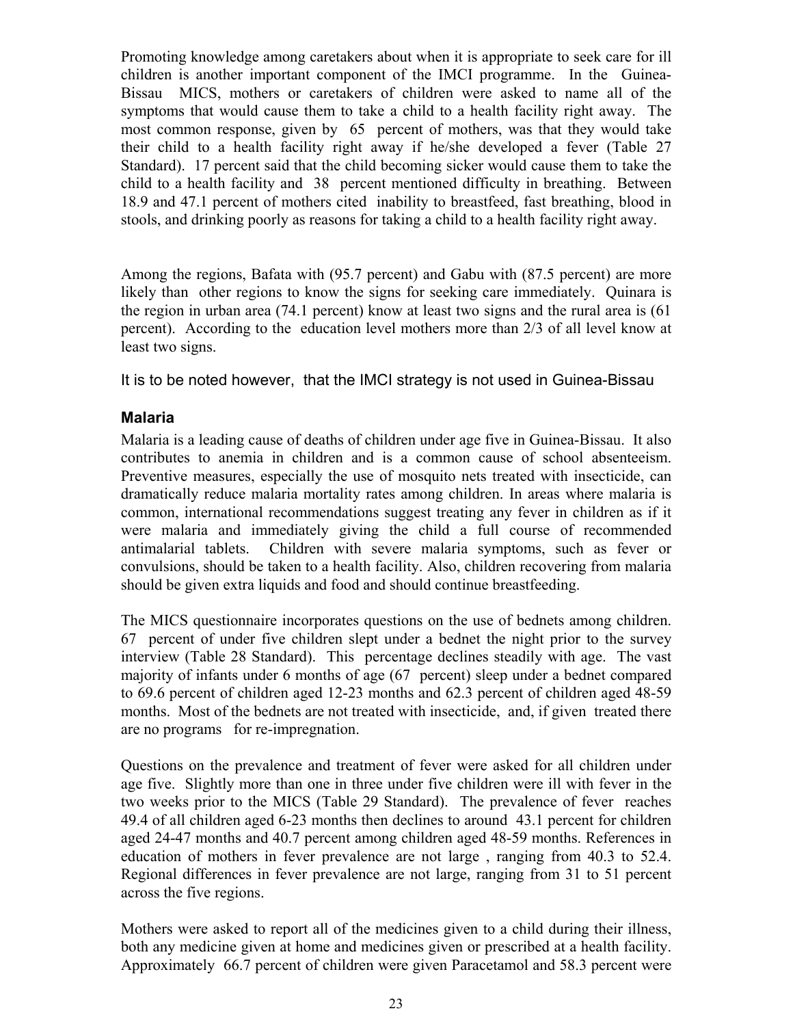Promoting knowledge among caretakers about when it is appropriate to seek care for ill children is another important component of the IMCI programme. In the Guinea-Bissau MICS, mothers or caretakers of children were asked to name all of the symptoms that would cause them to take a child to a health facility right away. The most common response, given by 65 percent of mothers, was that they would take their child to a health facility right away if he/she developed a fever (Table 27 Standard). 17 percent said that the child becoming sicker would cause them to take the child to a health facility and 38 percent mentioned difficulty in breathing. Between 18.9 and 47.1 percent of mothers cited inability to breastfeed, fast breathing, blood in stools, and drinking poorly as reasons for taking a child to a health facility right away.

Among the regions, Bafata with (95.7 percent) and Gabu with (87.5 percent) are more likely than other regions to know the signs for seeking care immediately. Quinara is the region in urban area (74.1 percent) know at least two signs and the rural area is (61 percent). According to the education level mothers more than 2/3 of all level know at least two signs.

It is to be noted however, that the IMCI strategy is not used in Guinea-Bissau

# **Malaria**

Malaria is a leading cause of deaths of children under age five in Guinea-Bissau. It also contributes to anemia in children and is a common cause of school absenteeism. Preventive measures, especially the use of mosquito nets treated with insecticide, can dramatically reduce malaria mortality rates among children. In areas where malaria is common, international recommendations suggest treating any fever in children as if it were malaria and immediately giving the child a full course of recommended antimalarial tablets. Children with severe malaria symptoms, such as fever or convulsions, should be taken to a health facility. Also, children recovering from malaria should be given extra liquids and food and should continue breastfeeding.

The MICS questionnaire incorporates questions on the use of bednets among children. 67 percent of under five children slept under a bednet the night prior to the survey interview (Table 28 Standard). This percentage declines steadily with age. The vast majority of infants under 6 months of age (67 percent) sleep under a bednet compared to 69.6 percent of children aged 12-23 months and 62.3 percent of children aged 48-59 months. Most of the bednets are not treated with insecticide, and, if given treated there are no programs for re-impregnation.

Questions on the prevalence and treatment of fever were asked for all children under age five. Slightly more than one in three under five children were ill with fever in the two weeks prior to the MICS (Table 29 Standard). The prevalence of fever reaches 49.4 of all children aged 6-23 months then declines to around 43.1 percent for children aged 24-47 months and 40.7 percent among children aged 48-59 months. References in education of mothers in fever prevalence are not large , ranging from 40.3 to 52.4. Regional differences in fever prevalence are not large, ranging from 31 to 51 percent across the five regions.

Mothers were asked to report all of the medicines given to a child during their illness, both any medicine given at home and medicines given or prescribed at a health facility. Approximately 66.7 percent of children were given Paracetamol and 58.3 percent were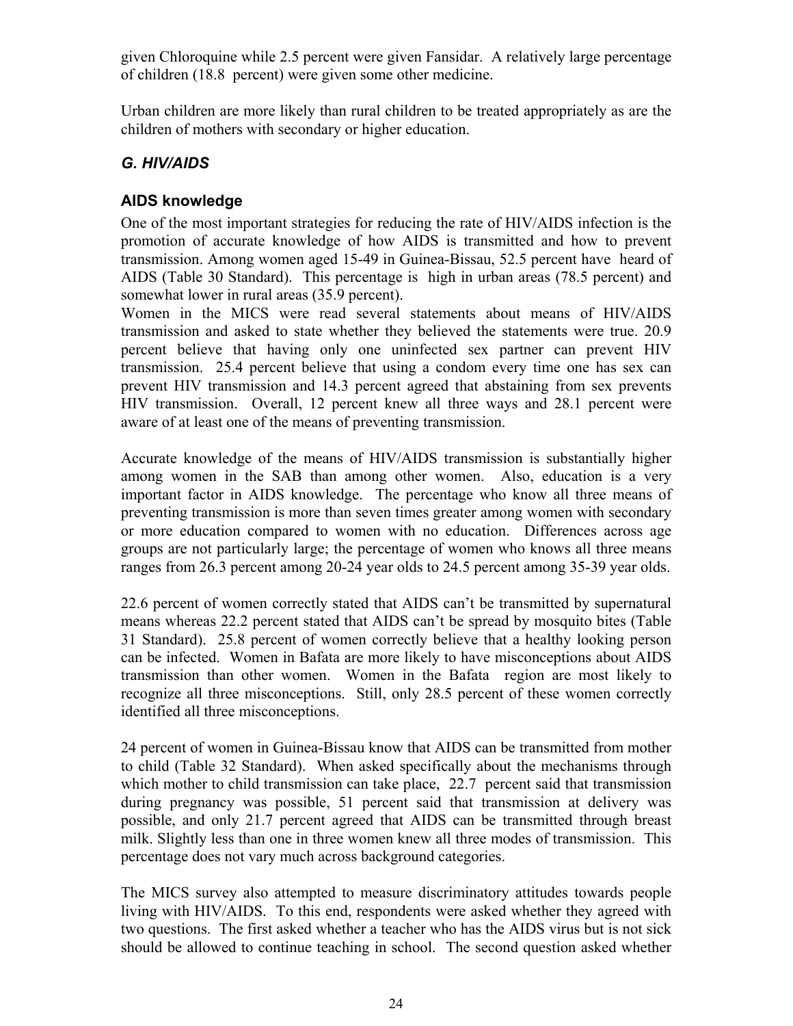given Chloroquine while 2.5 percent were given Fansidar. A relatively large percentage of children (18.8 percent) were given some other medicine.

Urban children are more likely than rural children to be treated appropriately as are the children of mothers with secondary or higher education.

# *G. HIV/AIDS*

## **AIDS knowledge**

One of the most important strategies for reducing the rate of HIV/AIDS infection is the promotion of accurate knowledge of how AIDS is transmitted and how to prevent transmission. Among women aged 15-49 in Guinea-Bissau, 52.5 percent have heard of AIDS (Table 30 Standard). This percentage is high in urban areas (78.5 percent) and somewhat lower in rural areas (35.9 percent).

Women in the MICS were read several statements about means of HIV/AIDS transmission and asked to state whether they believed the statements were true. 20.9 percent believe that having only one uninfected sex partner can prevent HIV transmission. 25.4 percent believe that using a condom every time one has sex can prevent HIV transmission and 14.3 percent agreed that abstaining from sex prevents HIV transmission. Overall, 12 percent knew all three ways and 28.1 percent were aware of at least one of the means of preventing transmission.

Accurate knowledge of the means of HIV/AIDS transmission is substantially higher among women in the SAB than among other women. Also, education is a very important factor in AIDS knowledge. The percentage who know all three means of preventing transmission is more than seven times greater among women with secondary or more education compared to women with no education. Differences across age groups are not particularly large; the percentage of women who knows all three means ranges from 26.3 percent among 20-24 year olds to 24.5 percent among 35-39 year olds.

22.6 percent of women correctly stated that AIDS can't be transmitted by supernatural means whereas 22.2 percent stated that AIDS can't be spread by mosquito bites (Table 31 Standard). 25.8 percent of women correctly believe that a healthy looking person can be infected. Women in Bafata are more likely to have misconceptions about AIDS transmission than other women. Women in the Bafata region are most likely to recognize all three misconceptions. Still, only 28.5 percent of these women correctly identified all three misconceptions.

24 percent of women in Guinea-Bissau know that AIDS can be transmitted from mother to child (Table 32 Standard). When asked specifically about the mechanisms through which mother to child transmission can take place, 22.7 percent said that transmission during pregnancy was possible, 51 percent said that transmission at delivery was possible, and only 21.7 percent agreed that AIDS can be transmitted through breast milk. Slightly less than one in three women knew all three modes of transmission. This percentage does not vary much across background categories.

The MICS survey also attempted to measure discriminatory attitudes towards people living with HIV/AIDS. To this end, respondents were asked whether they agreed with two questions. The first asked whether a teacher who has the AIDS virus but is not sick should be allowed to continue teaching in school. The second question asked whether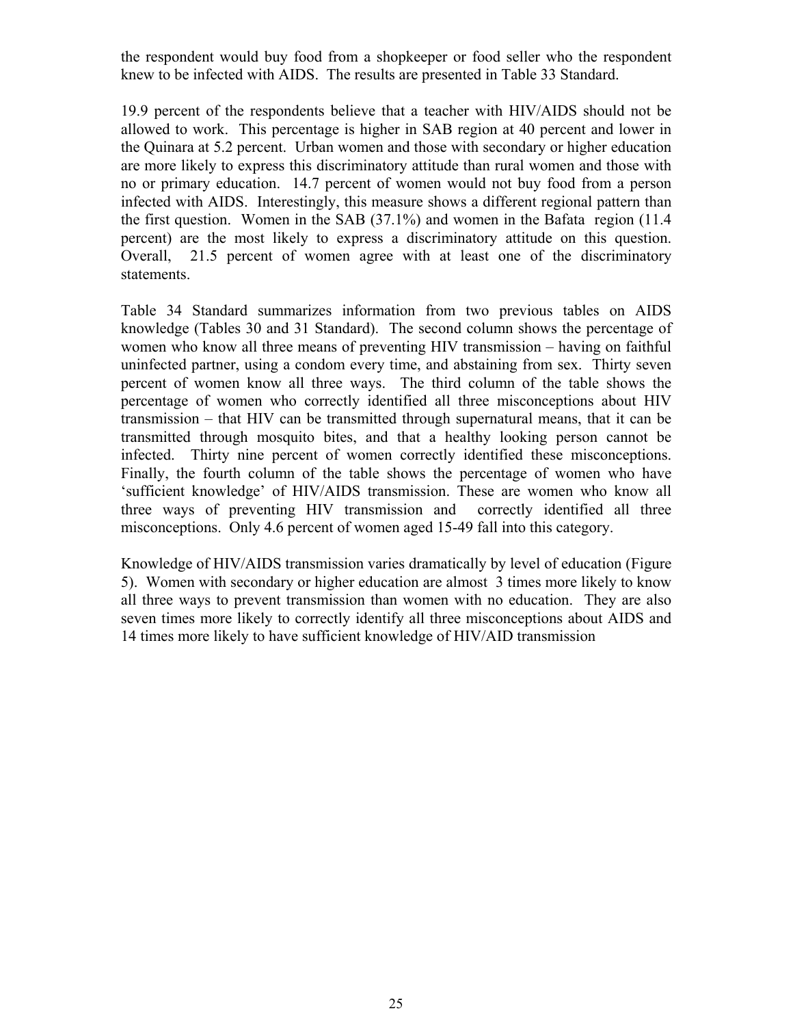the respondent would buy food from a shopkeeper or food seller who the respondent knew to be infected with AIDS. The results are presented in Table 33 Standard.

19.9 percent of the respondents believe that a teacher with HIV/AIDS should not be allowed to work. This percentage is higher in SAB region at 40 percent and lower in the Quinara at 5.2 percent. Urban women and those with secondary or higher education are more likely to express this discriminatory attitude than rural women and those with no or primary education. 14.7 percent of women would not buy food from a person infected with AIDS. Interestingly, this measure shows a different regional pattern than the first question. Women in the SAB (37.1%) and women in the Bafata region (11.4 percent) are the most likely to express a discriminatory attitude on this question. Overall, 21.5 percent of women agree with at least one of the discriminatory statements.

Table 34 Standard summarizes information from two previous tables on AIDS knowledge (Tables 30 and 31 Standard). The second column shows the percentage of women who know all three means of preventing HIV transmission – having on faithful uninfected partner, using a condom every time, and abstaining from sex. Thirty seven percent of women know all three ways. The third column of the table shows the percentage of women who correctly identified all three misconceptions about HIV transmission – that HIV can be transmitted through supernatural means, that it can be transmitted through mosquito bites, and that a healthy looking person cannot be infected. Thirty nine percent of women correctly identified these misconceptions. Finally, the fourth column of the table shows the percentage of women who have 'sufficient knowledge' of HIV/AIDS transmission. These are women who know all three ways of preventing HIV transmission and correctly identified all three misconceptions. Only 4.6 percent of women aged 15-49 fall into this category.

Knowledge of HIV/AIDS transmission varies dramatically by level of education (Figure 5). Women with secondary or higher education are almost 3 times more likely to know all three ways to prevent transmission than women with no education. They are also seven times more likely to correctly identify all three misconceptions about AIDS and 14 times more likely to have sufficient knowledge of HIV/AID transmission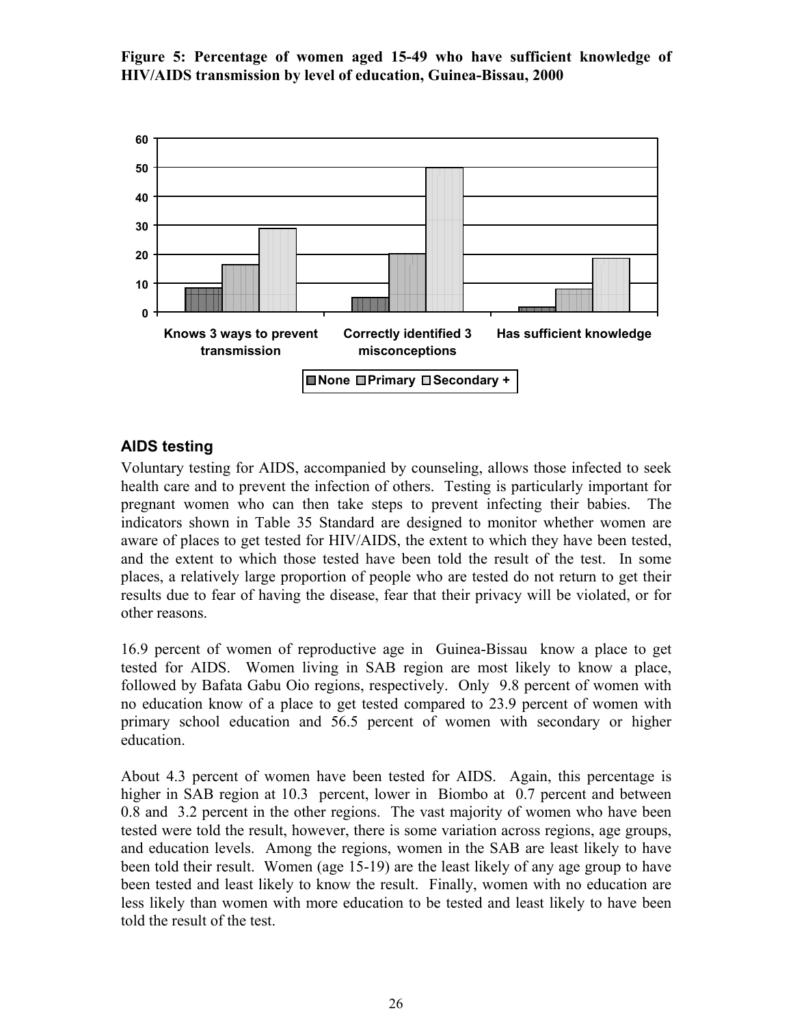**Figure 5: Percentage of women aged 15-49 who have sufficient knowledge of HIV/AIDS transmission by level of education, Guinea-Bissau, 2000**



### **AIDS testing**

Voluntary testing for AIDS, accompanied by counseling, allows those infected to seek health care and to prevent the infection of others. Testing is particularly important for pregnant women who can then take steps to prevent infecting their babies. The indicators shown in Table 35 Standard are designed to monitor whether women are aware of places to get tested for HIV/AIDS, the extent to which they have been tested, and the extent to which those tested have been told the result of the test. In some places, a relatively large proportion of people who are tested do not return to get their results due to fear of having the disease, fear that their privacy will be violated, or for other reasons.

16.9 percent of women of reproductive age in Guinea-Bissau know a place to get tested for AIDS. Women living in SAB region are most likely to know a place, followed by Bafata Gabu Oio regions, respectively. Only 9.8 percent of women with no education know of a place to get tested compared to 23.9 percent of women with primary school education and 56.5 percent of women with secondary or higher education.

About 4.3 percent of women have been tested for AIDS. Again, this percentage is higher in SAB region at 10.3 percent, lower in Biombo at 0.7 percent and between 0.8 and 3.2 percent in the other regions. The vast majority of women who have been tested were told the result, however, there is some variation across regions, age groups, and education levels. Among the regions, women in the SAB are least likely to have been told their result. Women (age 15-19) are the least likely of any age group to have been tested and least likely to know the result. Finally, women with no education are less likely than women with more education to be tested and least likely to have been told the result of the test.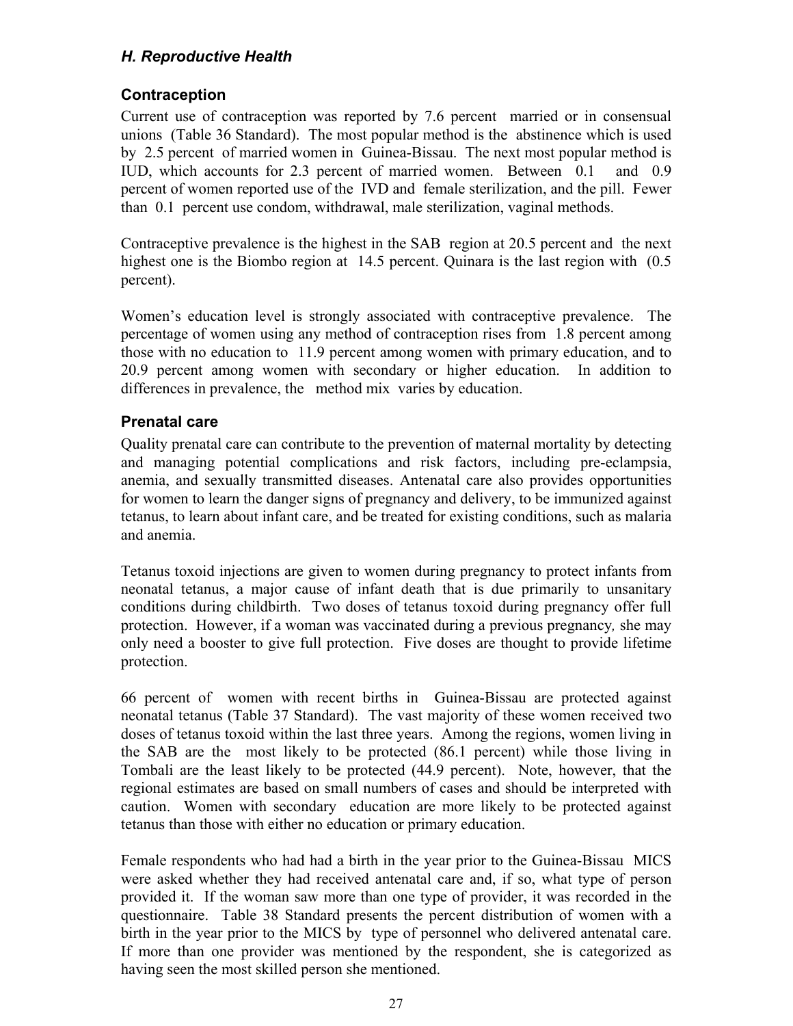# *H. Reproductive Health*

# **Contraception**

Current use of contraception was reported by 7.6 percent married or in consensual unions (Table 36 Standard). The most popular method is the abstinence which is used by 2.5 percent of married women in Guinea-Bissau. The next most popular method is IUD, which accounts for 2.3 percent of married women. Between 0.1 and 0.9 percent of women reported use of the IVD and female sterilization, and the pill. Fewer than 0.1 percent use condom, withdrawal, male sterilization, vaginal methods.

Contraceptive prevalence is the highest in the SAB region at 20.5 percent and the next highest one is the Biombo region at 14.5 percent. Quinara is the last region with  $(0.5)$ percent).

Women's education level is strongly associated with contraceptive prevalence. The percentage of women using any method of contraception rises from 1.8 percent among those with no education to 11.9 percent among women with primary education, and to 20.9 percent among women with secondary or higher education. In addition to differences in prevalence, the method mix varies by education.

# **Prenatal care**

Quality prenatal care can contribute to the prevention of maternal mortality by detecting and managing potential complications and risk factors, including pre-eclampsia, anemia, and sexually transmitted diseases. Antenatal care also provides opportunities for women to learn the danger signs of pregnancy and delivery, to be immunized against tetanus, to learn about infant care, and be treated for existing conditions, such as malaria and anemia.

Tetanus toxoid injections are given to women during pregnancy to protect infants from neonatal tetanus, a major cause of infant death that is due primarily to unsanitary conditions during childbirth. Two doses of tetanus toxoid during pregnancy offer full protection. However, if a woman was vaccinated during a previous pregnancy*,* she may only need a booster to give full protection. Five doses are thought to provide lifetime protection.

66 percent of women with recent births in Guinea-Bissau are protected against neonatal tetanus (Table 37 Standard). The vast majority of these women received two doses of tetanus toxoid within the last three years. Among the regions, women living in the SAB are the most likely to be protected (86.1 percent) while those living in Tombali are the least likely to be protected (44.9 percent). Note, however, that the regional estimates are based on small numbers of cases and should be interpreted with caution. Women with secondary education are more likely to be protected against tetanus than those with either no education or primary education.

Female respondents who had had a birth in the year prior to the Guinea-Bissau MICS were asked whether they had received antenatal care and, if so, what type of person provided it. If the woman saw more than one type of provider, it was recorded in the questionnaire. Table 38 Standard presents the percent distribution of women with a birth in the year prior to the MICS by type of personnel who delivered antenatal care. If more than one provider was mentioned by the respondent, she is categorized as having seen the most skilled person she mentioned.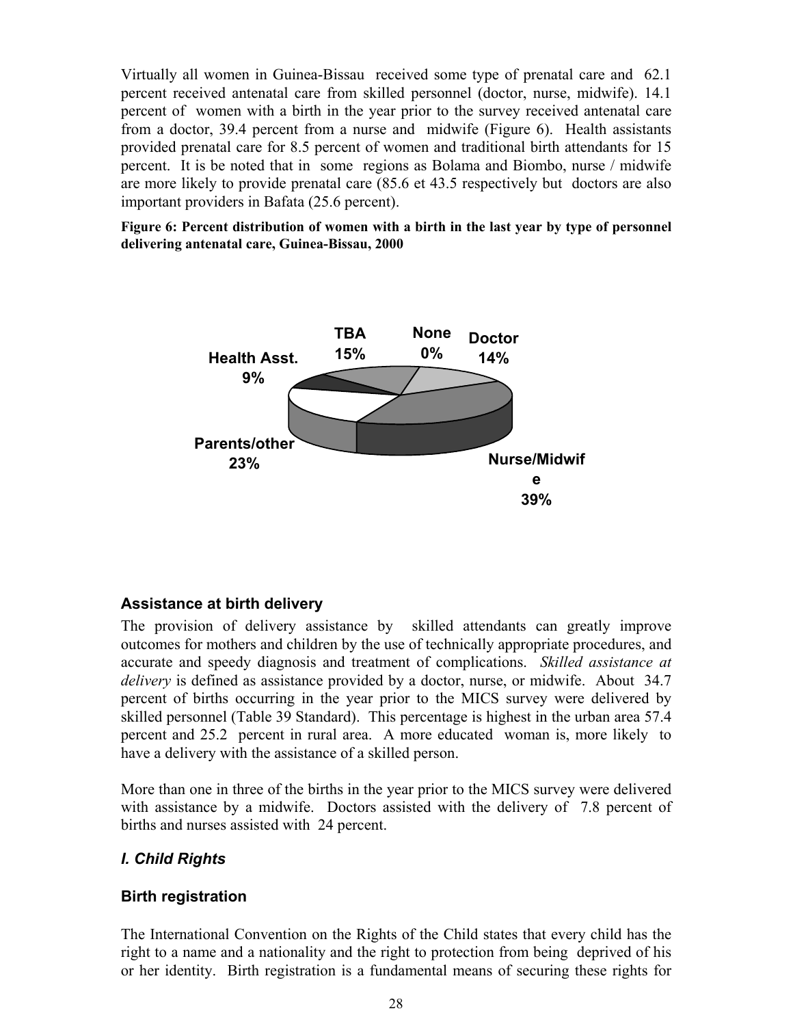Virtually all women in Guinea-Bissau received some type of prenatal care and 62.1 percent received antenatal care from skilled personnel (doctor, nurse, midwife). 14.1 percent of women with a birth in the year prior to the survey received antenatal care from a doctor, 39.4 percent from a nurse and midwife (Figure 6). Health assistants provided prenatal care for 8.5 percent of women and traditional birth attendants for 15 percent. It is be noted that in some regions as Bolama and Biombo, nurse / midwife are more likely to provide prenatal care (85.6 et 43.5 respectively but doctors are also important providers in Bafata (25.6 percent).

**Figure 6: Percent distribution of women with a birth in the last year by type of personnel delivering antenatal care, Guinea-Bissau, 2000**



#### **Assistance at birth delivery**

The provision of delivery assistance by skilled attendants can greatly improve outcomes for mothers and children by the use of technically appropriate procedures, and accurate and speedy diagnosis and treatment of complications. *Skilled assistance at delivery* is defined as assistance provided by a doctor, nurse, or midwife. About 34.7 percent of births occurring in the year prior to the MICS survey were delivered by skilled personnel (Table 39 Standard). This percentage is highest in the urban area 57.4 percent and 25.2 percent in rural area. A more educated woman is, more likely to have a delivery with the assistance of a skilled person.

More than one in three of the births in the year prior to the MICS survey were delivered with assistance by a midwife. Doctors assisted with the delivery of 7.8 percent of births and nurses assisted with 24 percent.

# *I. Child Rights*

# **Birth registration**

The International Convention on the Rights of the Child states that every child has the right to a name and a nationality and the right to protection from being deprived of his or her identity. Birth registration is a fundamental means of securing these rights for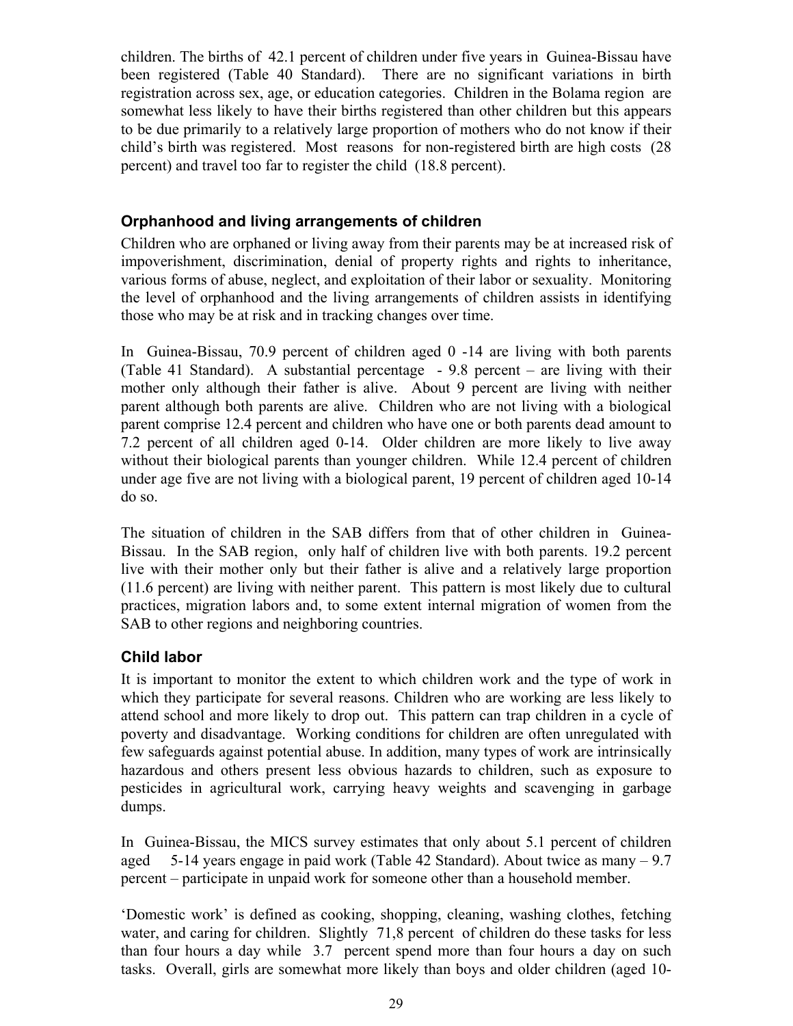children. The births of 42.1 percent of children under five years in Guinea-Bissau have been registered (Table 40 Standard). There are no significant variations in birth registration across sex, age, or education categories. Children in the Bolama region are somewhat less likely to have their births registered than other children but this appears to be due primarily to a relatively large proportion of mothers who do not know if their child's birth was registered. Most reasons for non-registered birth are high costs (28 percent) and travel too far to register the child (18.8 percent).

## **Orphanhood and living arrangements of children**

Children who are orphaned or living away from their parents may be at increased risk of impoverishment, discrimination, denial of property rights and rights to inheritance, various forms of abuse, neglect, and exploitation of their labor or sexuality. Monitoring the level of orphanhood and the living arrangements of children assists in identifying those who may be at risk and in tracking changes over time.

In Guinea-Bissau, 70.9 percent of children aged 0 -14 are living with both parents (Table 41 Standard). A substantial percentage - 9.8 percent – are living with their mother only although their father is alive. About 9 percent are living with neither parent although both parents are alive. Children who are not living with a biological parent comprise 12.4 percent and children who have one or both parents dead amount to 7.2 percent of all children aged 0-14. Older children are more likely to live away without their biological parents than younger children. While 12.4 percent of children under age five are not living with a biological parent, 19 percent of children aged 10-14 do so.

The situation of children in the SAB differs from that of other children in Guinea-Bissau. In the SAB region, only half of children live with both parents. 19.2 percent live with their mother only but their father is alive and a relatively large proportion (11.6 percent) are living with neither parent. This pattern is most likely due to cultural practices, migration labors and, to some extent internal migration of women from the SAB to other regions and neighboring countries.

# **Child labor**

It is important to monitor the extent to which children work and the type of work in which they participate for several reasons. Children who are working are less likely to attend school and more likely to drop out. This pattern can trap children in a cycle of poverty and disadvantage. Working conditions for children are often unregulated with few safeguards against potential abuse. In addition, many types of work are intrinsically hazardous and others present less obvious hazards to children, such as exposure to pesticides in agricultural work, carrying heavy weights and scavenging in garbage dumps.

In Guinea-Bissau, the MICS survey estimates that only about 5.1 percent of children aged 5-14 years engage in paid work (Table 42 Standard). About twice as many – 9.7 percent – participate in unpaid work for someone other than a household member.

'Domestic work' is defined as cooking, shopping, cleaning, washing clothes, fetching water, and caring for children. Slightly 71,8 percent of children do these tasks for less than four hours a day while 3.7 percent spend more than four hours a day on such tasks. Overall, girls are somewhat more likely than boys and older children (aged 10-